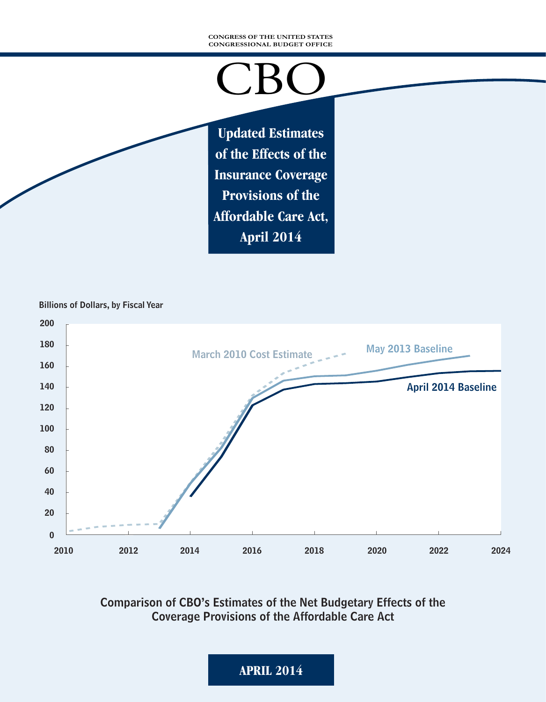#### **CONGRESS OF THE UNITED STATES CONGRESSIONAL BUDGET OFFICE**

# CBO

**Updated Estimates of the Effects of the Insurance Coverage Provisions of the Affordable Care Act, April 2014**

Billions of Dollars, by Fiscal Year



Comparison of CBO's Estimates of the Net Budgetary Effects of the Coverage Provisions of the Affordable Care Act

**APRIL 2014**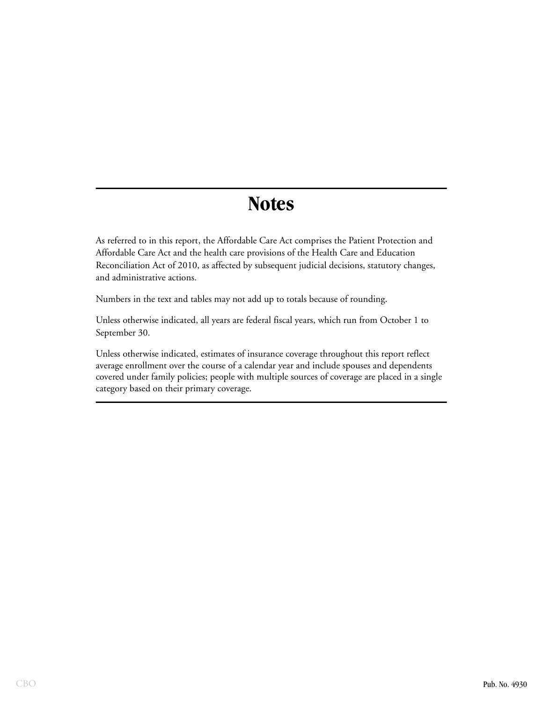# **Notes**

As referred to in this report, the Affordable Care Act comprises the Patient Protection and Affordable Care Act and the health care provisions of the Health Care and Education Reconciliation Act of 2010, as affected by subsequent judicial decisions, statutory changes, and administrative actions.

Numbers in the text and tables may not add up to totals because of rounding.

Unless otherwise indicated, all years are federal fiscal years, which run from October 1 to September 30.

Unless otherwise indicated, estimates of insurance coverage throughout this report reflect average enrollment over the course of a calendar year and include spouses and dependents covered under family policies; people with multiple sources of coverage are placed in a single category based on their primary coverage.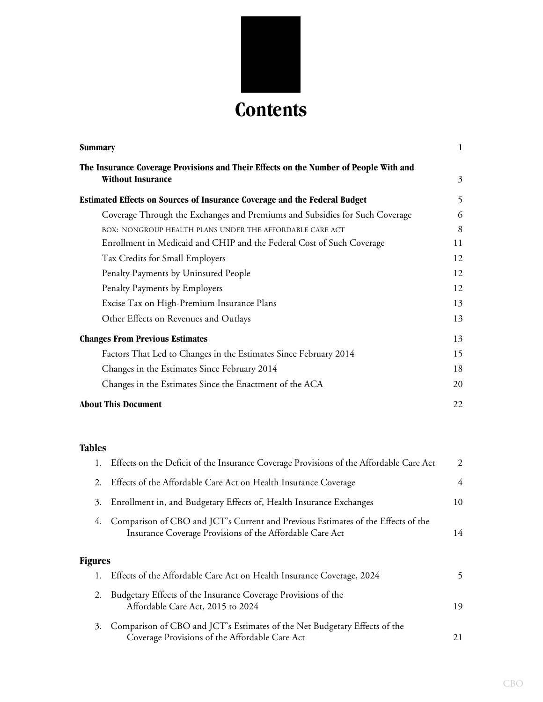

| Summary                                                                                                          | $\mathbf{1}$ |
|------------------------------------------------------------------------------------------------------------------|--------------|
| The Insurance Coverage Provisions and Their Effects on the Number of People With and<br><b>Without Insurance</b> | 3            |
| Estimated Effects on Sources of Insurance Coverage and the Federal Budget                                        | 5            |
| Coverage Through the Exchanges and Premiums and Subsidies for Such Coverage                                      | 6            |
| BOX: NONGROUP HEALTH PLANS UNDER THE AFFORDABLE CARE ACT                                                         | 8            |
| Enrollment in Medicaid and CHIP and the Federal Cost of Such Coverage                                            | 11           |
| Tax Credits for Small Employers                                                                                  | 12           |
| Penalty Payments by Uninsured People                                                                             | 12           |
| Penalty Payments by Employers                                                                                    | 12           |
| Excise Tax on High-Premium Insurance Plans                                                                       | 13           |
| Other Effects on Revenues and Outlays                                                                            | 13           |
| <b>Changes From Previous Estimates</b>                                                                           | 13           |
| Factors That Led to Changes in the Estimates Since February 2014                                                 | 15           |
| Changes in the Estimates Since February 2014                                                                     | 18           |
| Changes in the Estimates Since the Enactment of the ACA                                                          | 20           |
| <b>About This Document</b>                                                                                       | 22           |

# **Tables**

| 1.             | Effects on the Deficit of the Insurance Coverage Provisions of the Affordable Care Act                                                       | 2  |
|----------------|----------------------------------------------------------------------------------------------------------------------------------------------|----|
| 2.             | Effects of the Affordable Care Act on Health Insurance Coverage                                                                              | 4  |
| 3.             | Enrollment in, and Budgetary Effects of, Health Insurance Exchanges                                                                          | 10 |
| 4.             | Comparison of CBO and JCT's Current and Previous Estimates of the Effects of the<br>Insurance Coverage Provisions of the Affordable Care Act | 14 |
| <b>Figures</b> |                                                                                                                                              |    |
|                | Effects of the Affordable Care Act on Health Insurance Coverage, 2024                                                                        | 5  |
| 2.             | Budgetary Effects of the Insurance Coverage Provisions of the<br>Affordable Care Act, 2015 to 2024                                           | 19 |
| 3.             | Comparison of CBO and JCT's Estimates of the Net Budgetary Effects of the<br>Coverage Provisions of the Affordable Care Act                  | 21 |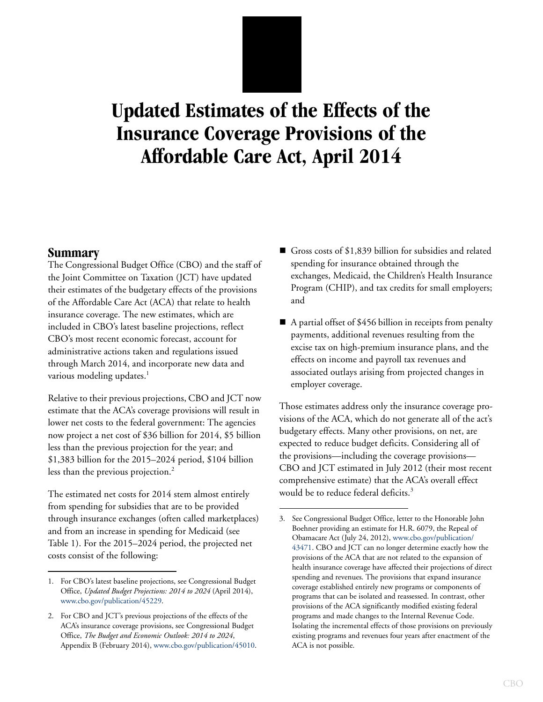# **Updated Estimates of the Effects of the Insurance Coverage Provisions of the Affordable Care Act, April 2014**

# **Summary**

The Congressional Budget Office (CBO) and the staff of the Joint Committee on Taxation (JCT) have updated their estimates of the budgetary effects of the provisions of the Affordable Care Act (ACA) that relate to health insurance coverage. The new estimates, which are included in CBO's latest baseline projections, reflect CBO's most recent economic forecast, account for administrative actions taken and regulations issued through March 2014, and incorporate new data and various modeling updates.<sup>1</sup>

Relative to their previous projections, CBO and JCT now estimate that the ACA's coverage provisions will result in lower net costs to the federal government: The agencies now project a net cost of \$36 billion for 2014, \$5 billion less than the previous projection for the year; and \$1,383 billion for the 2015–2024 period, \$104 billion less than the previous projection.<sup>2</sup>

The estimated net costs for 2014 stem almost entirely from spending for subsidies that are to be provided through insurance exchanges (often called marketplaces) and from an increase in spending for Medicaid (see [Table 1](#page-5-0)). For the 2015–2024 period, the projected net costs consist of the following:

- Gross costs of \$1,839 billion for subsidies and related spending for insurance obtained through the exchanges, Medicaid, the Children's Health Insurance Program (CHIP), and tax credits for small employers; and
- A partial offset of \$456 billion in receipts from penalty payments, additional revenues resulting from the excise tax on high-premium insurance plans, and the effects on income and payroll tax revenues and associated outlays arising from projected changes in employer coverage.

Those estimates address only the insurance coverage provisions of the ACA, which do not generate all of the act's budgetary effects. Many other provisions, on net, are expected to reduce budget deficits. Considering all of the provisions—including the coverage provisions— CBO and JCT estimated in July 2012 (their most recent comprehensive estimate) that the ACA's overall effect would be to reduce federal deficits.<sup>3</sup>

<sup>1.</sup> For CBO's latest baseline projections, see Congressional Budget Office, *Updated Budget Projections: 2014 to 2024* (April 2014), [www.cbo.gov/publication/45229](http://www.cbo.gov/publication/45229).

<sup>2.</sup> For CBO and JCT's previous projections of the effects of the ACA's insurance coverage provisions, see Congressional Budget Office, *The Budget and Economic Outlook: 2014 to 2024*, Appendix B (February 2014), [www.cbo.gov/publication/45010](http://www.cbo.gov/publication/45010).

<sup>3.</sup> See Congressional Budget Office, letter to the Honorable John Boehner providing an estimate for H.R. 6079, the Repeal of Obamacare Act (July 24, 2012), [www.cbo.gov/publication/](http://www.cbo.gov/publication/43471) [43471.](http://www.cbo.gov/publication/43471) CBO and JCT can no longer determine exactly how the provisions of the ACA that are not related to the expansion of health insurance coverage have affected their projections of direct spending and revenues. The provisions that expand insurance coverage established entirely new programs or components of programs that can be isolated and reassessed. In contrast, other provisions of the ACA significantly modified existing federal programs and made changes to the Internal Revenue Code. Isolating the incremental effects of those provisions on previously existing programs and revenues four years after enactment of the ACA is not possible.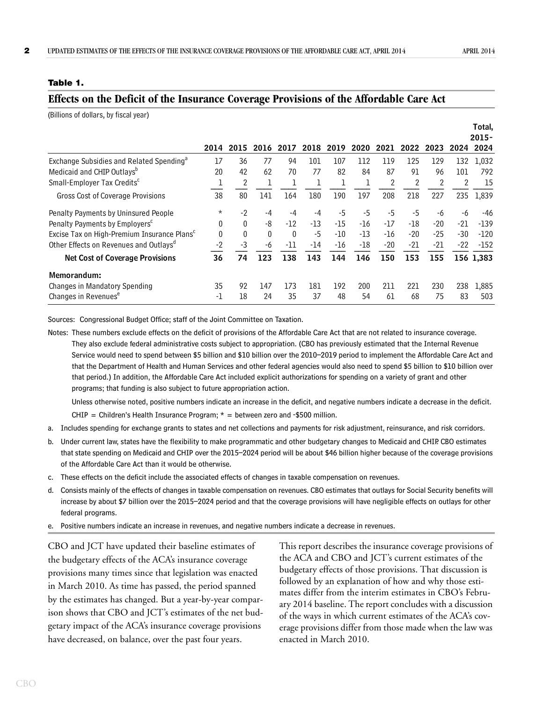#### <span id="page-5-0"></span>**Table 1.**

## **Effects on the Deficit of the Insurance Coverage Provisions of the Affordable Care Act**

| (Billions of dollars, by fiscal year)                   |          |              |          |              |      |       |       |       |       |       |       |           |
|---------------------------------------------------------|----------|--------------|----------|--------------|------|-------|-------|-------|-------|-------|-------|-----------|
|                                                         |          |              |          |              |      |       |       |       |       |       |       | Total,    |
|                                                         |          |              |          |              |      |       |       |       |       |       |       | $2015 -$  |
|                                                         | 2014     | 2015         | 2016     | 2017         | 2018 | 2019  | 2020  | 2021  | 2022  | 2023  | 2024  | 2024      |
| Exchange Subsidies and Related Spending <sup>a</sup>    | 17       | 36           | 77       | 94           | 101  | 107   | 112   | 119   | 125   | 129   | 132   | 1,032     |
| Medicaid and CHIP Outlays <sup>b</sup>                  | 20       | 42           | 62       | 70           | 77   | 82    | 84    | 87    | 91    | 96    | 101   | 792       |
| Small-Employer Tax Credits <sup>c</sup>                 |          | 2            |          |              |      |       |       | 2     |       | 2     | 2     | 15        |
| Gross Cost of Coverage Provisions                       | 38       | 80           | 141      | 164          | 180  | 190   | 197   | 208   | 218   | 227   | 235   | 1,839     |
| Penalty Payments by Uninsured People                    | $^\star$ | $-2$         | -4       | -4           | -4   | $-5$  | $-5$  | $-5$  | $-5$  | -6    | -6    | -46       |
| Penalty Payments by Employers <sup>c</sup>              | 0        | $\mathbf{0}$ | -8       | -12          | -13  | -15   | $-16$ | -17   | -18   | $-20$ | -21   | $-139$    |
| Excise Tax on High-Premium Insurance Plans <sup>c</sup> | $\theta$ | 0            | $\theta$ | $\mathbf{0}$ | -5   | $-10$ | -13   | $-16$ | $-20$ | $-25$ | -30   | $-120$    |
| Other Effects on Revenues and Outlays <sup>a</sup>      | $-2$     | -3           | -6       | -11          | -14  | -16   | $-18$ | $-20$ | $-21$ | $-21$ | $-22$ | $-152$    |
| <b>Net Cost of Coverage Provisions</b>                  | 36       | 74           | 123      | 138          | 143  | 144   | 146   | 150   | 153   | 155   |       | 156 1,383 |
| Memorandum:                                             |          |              |          |              |      |       |       |       |       |       |       |           |
| Changes in Mandatory Spending                           | 35       | 92           | 147      | 173          | 181  | 192   | 200   | 211   | 221   | 230   | 238   | 1,885     |
| Changes in Revenues <sup>e</sup>                        | -1       | 18           | 24       | 35           | 37   | 48    | 54    | 61    | 68    | 75    | 83    | 503       |

Sources: Congressional Budget Office; staff of the Joint Committee on Taxation.

Notes: These numbers exclude effects on the deficit of provisions of the Affordable Care Act that are not related to insurance coverage. They also exclude federal administrative costs subject to appropriation. (CBO has previously estimated that the Internal Revenue Service would need to spend between \$5 billion and \$10 billion over the 2010–2019 period to implement the Affordable Care Act and that the Department of Health and Human Services and other federal agencies would also need to spend \$5 billion to \$10 billion over that period.) In addition, the Affordable Care Act included explicit authorizations for spending on a variety of grant and other programs; that funding is also subject to future appropriation action.

Unless otherwise noted, positive numbers indicate an increase in the deficit, and negative numbers indicate a decrease in the deficit.

CHIP = Children's Health Insurance Program;  $*$  = between zero and -\$500 million.

- a. Includes spending for exchange grants to states and net collections and payments for risk adjustment, reinsurance, and risk corridors.
- b. Under current law, states have the flexibility to make programmatic and other budgetary changes to Medicaid and CHIP. CBO estimates that state spending on Medicaid and CHIP over the 2015–2024 period will be about \$46 billion higher because of the coverage provisions of the Affordable Care Act than it would be otherwise.
- c. These effects on the deficit include the associated effects of changes in taxable compensation on revenues.
- d. Consists mainly of the effects of changes in taxable compensation on revenues. CBO estimates that outlays for Social Security benefits will increase by about \$7 billion over the 2015–2024 period and that the coverage provisions will have negligible effects on outlays for other federal programs.
- e. Positive numbers indicate an increase in revenues, and negative numbers indicate a decrease in revenues.

CBO and JCT have updated their baseline estimates of the budgetary effects of the ACA's insurance coverage provisions many times since that legislation was enacted in March 2010. As time has passed, the period spanned by the estimates has changed. But a year-by-year comparison shows that CBO and JCT's estimates of the net budgetary impact of the ACA's insurance coverage provisions have decreased, on balance, over the past four years.

This report describes the insurance coverage provisions of the ACA and CBO and JCT's current estimates of the budgetary effects of those provisions. That discussion is followed by an explanation of how and why those estimates differ from the interim estimates in CBO's February 2014 baseline. The report concludes with a discussion of the ways in which current estimates of the ACA's coverage provisions differ from those made when the law was enacted in March 2010.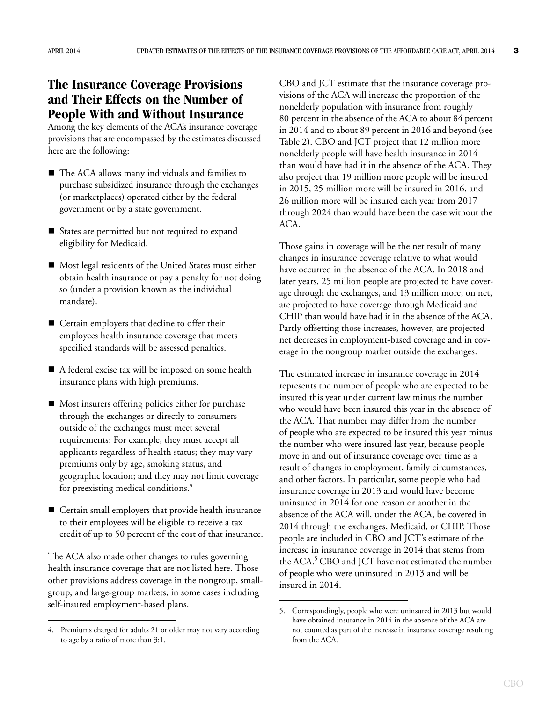# **The Insurance Coverage Provisions and Their Effects on the Number of People With and Without Insurance**

Among the key elements of the ACA's insurance coverage provisions that are encompassed by the estimates discussed here are the following:

- The ACA allows many individuals and families to purchase subsidized insurance through the exchanges (or marketplaces) operated either by the federal government or by a state government.
- States are permitted but not required to expand eligibility for Medicaid.
- Most legal residents of the United States must either obtain health insurance or pay a penalty for not doing so (under a provision known as the individual mandate).
- Certain employers that decline to offer their employees health insurance coverage that meets specified standards will be assessed penalties.
- A federal excise tax will be imposed on some health insurance plans with high premiums.
- Most insurers offering policies either for purchase through the exchanges or directly to consumers outside of the exchanges must meet several requirements: For example, they must accept all applicants regardless of health status; they may vary premiums only by age, smoking status, and geographic location; and they may not limit coverage for preexisting medical conditions.<sup>4</sup>
- Certain small employers that provide health insurance to their employees will be eligible to receive a tax credit of up to 50 percent of the cost of that insurance.

The ACA also made other changes to rules governing health insurance coverage that are not listed here. Those other provisions address coverage in the nongroup, smallgroup, and large-group markets, in some cases including self-insured employment-based plans.

CBO and JCT estimate that the insurance coverage provisions of the ACA will increase the proportion of the nonelderly population with insurance from roughly 80 percent in the absence of the ACA to about 84 percent in 2014 and to about 89 percent in 2016 and beyond (see [Table 2](#page-7-0)). CBO and JCT project that 12 million more nonelderly people will have health insurance in 2014 than would have had it in the absence of the ACA. They also project that 19 million more people will be insured in 2015, 25 million more will be insured in 2016, and 26 million more will be insured each year from 2017 through 2024 than would have been the case without the ACA.

Those gains in coverage will be the net result of many changes in insurance coverage relative to what would have occurred in the absence of the ACA. In 2018 and later years, 25 million people are projected to have coverage through the exchanges, and 13 million more, on net, are projected to have coverage through Medicaid and CHIP than would have had it in the absence of the ACA. Partly offsetting those increases, however, are projected net decreases in employment-based coverage and in coverage in the nongroup market outside the exchanges.

The estimated increase in insurance coverage in 2014 represents the number of people who are expected to be insured this year under current law minus the number who would have been insured this year in the absence of the ACA. That number may differ from the number of people who are expected to be insured this year minus the number who were insured last year, because people move in and out of insurance coverage over time as a result of changes in employment, family circumstances, and other factors. In particular, some people who had insurance coverage in 2013 and would have become uninsured in 2014 for one reason or another in the absence of the ACA will, under the ACA, be covered in 2014 through the exchanges, Medicaid, or CHIP. Those people are included in CBO and JCT's estimate of the increase in insurance coverage in 2014 that stems from the ACA.<sup>5</sup> CBO and JCT have not estimated the number of people who were uninsured in 2013 and will be insured in 2014.

<sup>4.</sup> Premiums charged for adults 21 or older may not vary according to age by a ratio of more than 3:1.

<sup>5.</sup> Correspondingly, people who were uninsured in 2013 but would have obtained insurance in 2014 in the absence of the ACA are not counted as part of the increase in insurance coverage resulting from the ACA.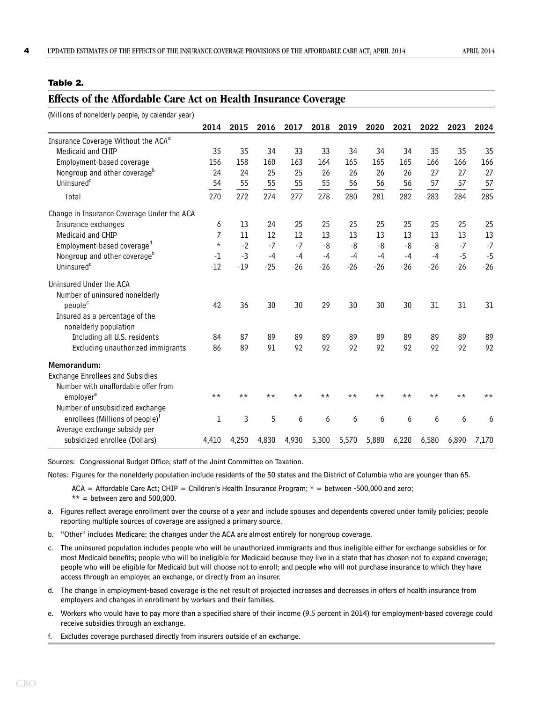#### <span id="page-7-0"></span>**Table 2.**

| (Millions of nonelderly people, by calendar year) |          |       |       |       |       |       |       |       |       |       |       |
|---------------------------------------------------|----------|-------|-------|-------|-------|-------|-------|-------|-------|-------|-------|
|                                                   | 2014     | 2015  | 2016  | 2017  | 2018  | 2019  | 2020  | 2021  | 2022  | 2023  | 2024  |
| Insurance Coverage Without the ACA <sup>a</sup>   |          |       |       |       |       |       |       |       |       |       |       |
| Medicaid and CHIP                                 | 35       | 35    | 34    | 33    | 33    | 34    | 34    | 34    | 35    | 35    | 35    |
| Employment-based coverage                         | 156      | 158   | 160   | 163   | 164   | 165   | 165   | 165   | 166   | 166   | 166   |
| Nongroup and other coverage <sup>b</sup>          | 24       | 24    | 25    | 25    | 26    | 26    | 26    | 26    | 27    | 27    | 27    |
| Uninsured <sup>c</sup>                            | 54       | 55    | 55    | 55    | 55    | 56    | 56    | 56    | 57    | 57    | 57    |
| Total                                             | 270      | 272   | 274   | 277   | 278   | 280   | 281   | 282   | 283   | 284   | 285   |
| Change in Insurance Coverage Under the ACA        |          |       |       |       |       |       |       |       |       |       |       |
| Insurance exchanges                               | 6        | 13    | 24    | 25    | 25    | 25    | 25    | 25    | 25    | 25    | 25    |
| Medicaid and CHIP                                 | 7        | 11    | 12    | 12    | 13    | 13    | 13    | 13    | 13    | 13    | 13    |
| Employment-based coverage <sup>d</sup>            | $^\star$ | $-2$  | $-7$  | $-7$  | $-8$  | $-8$  | -8    | $-8$  | $-8$  | $-7$  | $-7$  |
| Nongroup and other coverage <sup>b</sup>          | $-1$     | $-3$  | $-4$  | $-4$  | $-4$  | $-4$  | $-4$  | $-4$  | $-4$  | $-5$  | $-5$  |
| Uninsured <sup>c</sup>                            | $-12$    | $-19$ | $-25$ | $-26$ | $-26$ | $-26$ | $-26$ | $-26$ | $-26$ | $-26$ | $-26$ |
| Uninsured Under the ACA                           |          |       |       |       |       |       |       |       |       |       |       |
| Number of uninsured nonelderly                    |          |       |       |       |       |       |       |       |       |       |       |
| people <sup>c</sup>                               | 42       | 36    | 30    | 30    | 29    | 30    | 30    | 30    | 31    | 31    | 31    |
| Insured as a percentage of the                    |          |       |       |       |       |       |       |       |       |       |       |
| nonelderly population                             |          |       |       |       |       |       |       |       |       |       |       |
| Including all U.S. residents                      | 84       | 87    | 89    | 89    | 89    | 89    | 89    | 89    | 89    | 89    | 89    |
| Excluding unauthorized immigrants                 | 86       | 89    | 91    | 92    | 92    | 92    | 92    | 92    | 92    | 92    | 92    |
| Memorandum:                                       |          |       |       |       |       |       |       |       |       |       |       |
| <b>Exchange Enrollees and Subsidies</b>           |          |       |       |       |       |       |       |       |       |       |       |
| Number with unaffordable offer from               |          |       |       |       |       |       |       |       |       |       |       |
| employer <sup>e</sup>                             | $***$    | $***$ | $***$ | $***$ | $***$ | $***$ | $***$ | $***$ | $***$ | $***$ | $***$ |
| Number of unsubsidized exchange                   |          |       |       |       |       |       |       |       |       |       |       |
| enrollees (Millions of people) <sup>†</sup>       | 1        | 3     | 5     | 6     | 6     | 6     | 6     | 6     | 6     | 6     | 6     |
| Average exchange subsidy per                      |          |       |       |       |       |       |       |       |       |       |       |
| subsidized enrollee (Dollars)                     | 4,410    | 4,250 | 4,830 | 4,930 | 5,300 | 5,570 | 5,880 | 6,220 | 6,580 | 6.890 | 7,170 |

#### **Effects of the Affordable Care Act on Health Insurance Coverage**

Sources: Congressional Budget Office; staff of the Joint Committee on Taxation.

Notes: Figures for the nonelderly population include residents of the 50 states and the District of Columbia who are younger than 65.

 $ACA = Affordable Care Act; CHIP = Children's Health Insurance Program;  $\star$  = between -500,000 and zero;$  $**$  = between zero and 500,000.

- a. Figures reflect average enrollment over the course of a year and include spouses and dependents covered under family policies; people reporting multiple sources of coverage are assigned a primary source.
- b. "Other" includes Medicare; the changes under the ACA are almost entirely for nongroup coverage.
- c. The uninsured population includes people who will be unauthorized immigrants and thus ineligible either for exchange subsidies or for most Medicaid benefits; people who will be ineligible for Medicaid because they live in a state that has chosen not to expand coverage; people who will be eligible for Medicaid but will choose not to enroll; and people who will not purchase insurance to which they have access through an employer, an exchange, or directly from an insurer.
- d. The change in employment-based coverage is the net result of projected increases and decreases in offers of health insurance from employers and changes in enrollment by workers and their families.
- e. Workers who would have to pay more than a specified share of their income (9.5 percent in 2014) for employment-based coverage could receive subsidies through an exchange.

f. Excludes coverage purchased directly from insurers outside of an exchange.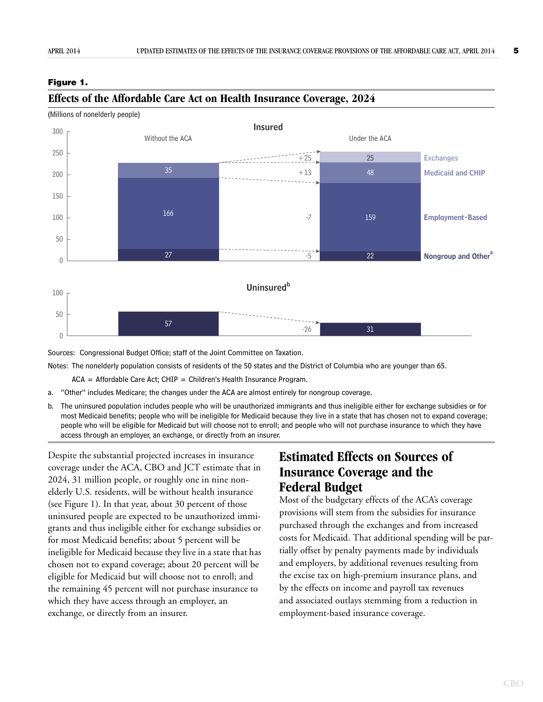#### <span id="page-8-0"></span>**Figure 1.**



#### **Effects of the Affordable Care Act on Health Insurance Coverage, 2024**

(Millions of nonelderly people)

Sources: Congressional Budget Office; staff of the Joint Committee on Taxation.

Notes: The nonelderly population consists of residents of the 50 states and the District of Columbia who are younger than 65.

 $ACA = Affordable Care Act; CHIP = Children's Health Insurance Program.$ 

- a. "Other" includes Medicare; the changes under the ACA are almost entirely for nongroup coverage.
- b. The uninsured population includes people who will be unauthorized immigrants and thus ineligible either for exchange subsidies or for most Medicaid benefits; people who will be ineligible for Medicaid because they live in a state that has chosen not to expand coverage; people who will be eligible for Medicaid but will choose not to enroll; and people who will not purchase insurance to which they have access through an employer, an exchange, or directly from an insurer.

Despite the substantial projected increases in insurance coverage under the ACA, CBO and JCT estimate that in 2024, 31 million people, or roughly one in nine nonelderly U.S. residents, will be without health insurance (see [Figure 1\)](#page-8-0). In that year, about 30 percent of those uninsured people are expected to be unauthorized immigrants and thus ineligible either for exchange subsidies or for most Medicaid benefits; about 5 percent will be ineligible for Medicaid because they live in a state that has chosen not to expand coverage; about 20 percent will be eligible for Medicaid but will choose not to enroll; and the remaining 45 percent will not purchase insurance to which they have access through an employer, an exchange, or directly from an insurer.

# **Estimated Effects on Sources of Insurance Coverage and the Federal Budget**

Most of the budgetary effects of the ACA's coverage provisions will stem from the subsidies for insurance purchased through the exchanges and from increased costs for Medicaid. That additional spending will be partially offset by penalty payments made by individuals and employers, by additional revenues resulting from the excise tax on high-premium insurance plans, and by the effects on income and payroll tax revenues and associated outlays stemming from a reduction in employment-based insurance coverage.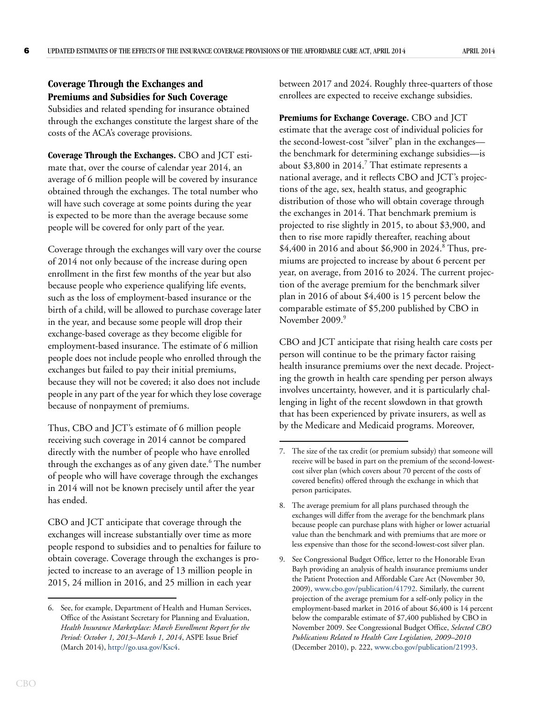# **Coverage Through the Exchanges and Premiums and Subsidies for Such Coverage**

Subsidies and related spending for insurance obtained through the exchanges constitute the largest share of the costs of the ACA's coverage provisions.

**Coverage Through the Exchanges.** CBO and JCT estimate that, over the course of calendar year 2014, an average of 6 million people will be covered by insurance obtained through the exchanges. The total number who will have such coverage at some points during the year is expected to be more than the average because some people will be covered for only part of the year.

Coverage through the exchanges will vary over the course of 2014 not only because of the increase during open enrollment in the first few months of the year but also because people who experience qualifying life events, such as the loss of employment-based insurance or the birth of a child, will be allowed to purchase coverage later in the year, and because some people will drop their exchange-based coverage as they become eligible for employment-based insurance. The estimate of 6 million people does not include people who enrolled through the exchanges but failed to pay their initial premiums, because they will not be covered; it also does not include people in any part of the year for which they lose coverage because of nonpayment of premiums.

Thus, CBO and JCT's estimate of 6 million people receiving such coverage in 2014 cannot be compared directly with the number of people who have enrolled through the exchanges as of any given date.<sup>6</sup> The number of people who will have coverage through the exchanges in 2014 will not be known precisely until after the year has ended.

CBO and JCT anticipate that coverage through the exchanges will increase substantially over time as more people respond to subsidies and to penalties for failure to obtain coverage. Coverage through the exchanges is projected to increase to an average of 13 million people in 2015, 24 million in 2016, and 25 million in each year

between 2017 and 2024. Roughly three-quarters of those enrollees are expected to receive exchange subsidies.

**Premiums for Exchange Coverage.** CBO and JCT estimate that the average cost of individual policies for the second-lowest-cost "silver" plan in the exchanges the benchmark for determining exchange subsidies—is about  $$3,800$  in  $2014$ .<sup>7</sup> That estimate represents a national average, and it reflects CBO and JCT's projections of the age, sex, health status, and geographic distribution of those who will obtain coverage through the exchanges in 2014. That benchmark premium is projected to rise slightly in 2015, to about \$3,900, and then to rise more rapidly thereafter, reaching about \$4,400 in 2016 and about \$6,900 in 2024.<sup>8</sup> Thus, premiums are projected to increase by about 6 percent per year, on average, from 2016 to 2024. The current projection of the average premium for the benchmark silver plan in 2016 of about \$4,400 is 15 percent below the comparable estimate of \$5,200 published by CBO in November 2009.<sup>9</sup>

CBO and JCT anticipate that rising health care costs per person will continue to be the primary factor raising health insurance premiums over the next decade. Projecting the growth in health care spending per person always involves uncertainty, however, and it is particularly challenging in light of the recent slowdown in that growth that has been experienced by private insurers, as well as by the Medicare and Medicaid programs. Moreover,

<sup>6.</sup> See, for example, Department of Health and Human Services, Office of the Assistant Secretary for Planning and Evaluation, *Health Insurance Marketplace: March Enrollment Report for the Period: October 1, 2013–March 1, 2014*, ASPE Issue Brief (March 2014), [http://go.usa.gov/Ksc4.](http://go.usa.gov/Ksc4)

<sup>7.</sup> The size of the tax credit (or premium subsidy) that someone will receive will be based in part on the premium of the second-lowestcost silver plan (which covers about 70 percent of the costs of covered benefits) offered through the exchange in which that person participates.

<sup>8.</sup> The average premium for all plans purchased through the exchanges will differ from the average for the benchmark plans because people can purchase plans with higher or lower actuarial value than the benchmark and with premiums that are more or less expensive than those for the second-lowest-cost silver plan.

<sup>9.</sup> See Congressional Budget Office, letter to the Honorable Evan Bayh providing an analysis of health insurance premiums under the Patient Protection and Affordable Care Act (November 30, 2009), [www.cbo.gov/publication/41792.](http://www.cbo.gov/publication/41792) Similarly, the current projection of the average premium for a self-only policy in the employment-based market in 2016 of about \$6,400 is 14 percent below the comparable estimate of \$7,400 published by CBO in November 2009. See Congressional Budget Office, *Selected CBO Publications Related to Health Care Legislation, 2009–2010* (December 2010), p. 222, [www.cbo.gov/publication/21993.](http://www.cbo.gov/publication/21993)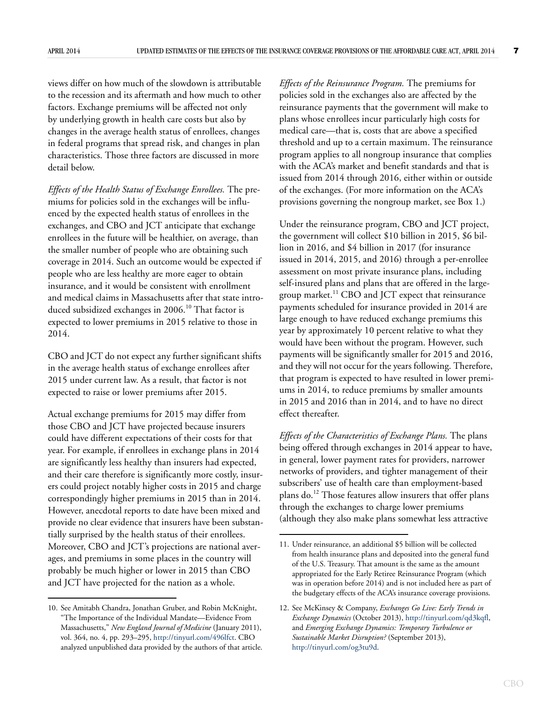views differ on how much of the slowdown is attributable to the recession and its aftermath and how much to other factors. Exchange premiums will be affected not only by underlying growth in health care costs but also by changes in the average health status of enrollees, changes in federal programs that spread risk, and changes in plan characteristics. Those three factors are discussed in more detail below.

*Effects of the Health Status of Exchange Enrollees.* The premiums for policies sold in the exchanges will be influenced by the expected health status of enrollees in the exchanges, and CBO and JCT anticipate that exchange enrollees in the future will be healthier, on average, than the smaller number of people who are obtaining such coverage in 2014. Such an outcome would be expected if people who are less healthy are more eager to obtain insurance, and it would be consistent with enrollment and medical claims in Massachusetts after that state introduced subsidized exchanges in 2006.<sup>10</sup> That factor is expected to lower premiums in 2015 relative to those in 2014.

CBO and JCT do not expect any further significant shifts in the average health status of exchange enrollees after 2015 under current law. As a result, that factor is not expected to raise or lower premiums after 2015.

Actual exchange premiums for 2015 may differ from those CBO and JCT have projected because insurers could have different expectations of their costs for that year. For example, if enrollees in exchange plans in 2014 are significantly less healthy than insurers had expected, and their care therefore is significantly more costly, insurers could project notably higher costs in 2015 and charge correspondingly higher premiums in 2015 than in 2014. However, anecdotal reports to date have been mixed and provide no clear evidence that insurers have been substantially surprised by the health status of their enrollees. Moreover, CBO and JCT's projections are national averages, and premiums in some places in the country will probably be much higher or lower in 2015 than CBO and JCT have projected for the nation as a whole.

*Effects of the Reinsurance Program.* The premiums for policies sold in the exchanges also are affected by the reinsurance payments that the government will make to plans whose enrollees incur particularly high costs for medical care—that is, costs that are above a specified threshold and up to a certain maximum. The reinsurance program applies to all nongroup insurance that complies with the ACA's market and benefit standards and that is issued from 2014 through 2016, either within or outside of the exchanges. (For more information on the ACA's provisions governing the nongroup market, see [Box 1](#page-11-0).)

Under the reinsurance program, CBO and JCT project, the government will collect \$10 billion in 2015, \$6 billion in 2016, and \$4 billion in 2017 (for insurance issued in 2014, 2015, and 2016) through a per-enrollee assessment on most private insurance plans, including self-insured plans and plans that are offered in the largegroup market. $^{11}$  CBO and JCT expect that reinsurance payments scheduled for insurance provided in 2014 are large enough to have reduced exchange premiums this year by approximately 10 percent relative to what they would have been without the program. However, such payments will be significantly smaller for 2015 and 2016, and they will not occur for the years following. Therefore, that program is expected to have resulted in lower premiums in 2014, to reduce premiums by smaller amounts in 2015 and 2016 than in 2014, and to have no direct effect thereafter.

*Effects of the Characteristics of Exchange Plans.* The plans being offered through exchanges in 2014 appear to have, in general, lower payment rates for providers, narrower networks of providers, and tighter management of their subscribers' use of health care than employment-based plans do.12 Those features allow insurers that offer plans through the exchanges to charge lower premiums (although they also make plans somewhat less attractive

<sup>10.</sup> See Amitabh Chandra, Jonathan Gruber, and Robin McKnight, "The Importance of the Individual Mandate—Evidence From Massachusetts," *New England Journal of Medicine* (January 2011), vol. 364, no. 4, pp. 293–295,<http://tinyurl.com/496lfct>. CBO analyzed unpublished data provided by the authors of that article.

<sup>11.</sup> Under reinsurance, an additional \$5 billion will be collected from health insurance plans and deposited into the general fund of the U.S. Treasury. That amount is the same as the amount appropriated for the Early Retiree Reinsurance Program (which was in operation before 2014) and is not included here as part of the budgetary effects of the ACA's insurance coverage provisions.

<sup>12.</sup> See McKinsey & Company, *Exchanges Go Live: Early Trends in Exchange Dynamics* (October 2013),<http://tinyurl.com/qd3kqfl>, and *Emerging Exchange Dynamics: Temporary Turbulence or Sustainable Market Disruption?* (September 2013), <http://tinyurl.com/og3tu9d>.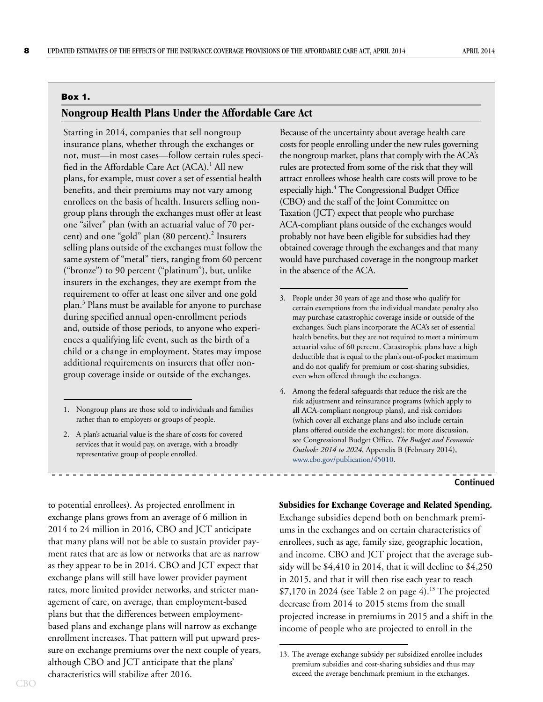#### <span id="page-11-0"></span>**Box 1.**

#### **Nongroup Health Plans Under the Affordable Care Act**

Starting in 2014, companies that sell nongroup insurance plans, whether through the exchanges or not, must—in most cases—follow certain rules specified in the Affordable Care Act (ACA).<sup>1</sup> All new plans, for example, must cover a set of essential health benefits, and their premiums may not vary among enrollees on the basis of health. Insurers selling nongroup plans through the exchanges must offer at least one "silver" plan (with an actuarial value of 70 percent) and one "gold" plan (80 percent).<sup>2</sup> Insurers selling plans outside of the exchanges must follow the same system of "metal" tiers, ranging from 60 percent ("bronze") to 90 percent ("platinum"), but, unlike insurers in the exchanges, they are exempt from the requirement to offer at least one silver and one gold plan.<sup>3</sup> Plans must be available for anyone to purchase during specified annual open-enrollment periods and, outside of those periods, to anyone who experiences a qualifying life event, such as the birth of a child or a change in employment. States may impose additional requirements on insurers that offer nongroup coverage inside or outside of the exchanges.

2. A plan's actuarial value is the share of costs for covered services that it would pay, on average, with a broadly representative group of people enrolled.

to potential enrollees). As projected enrollment in exchange plans grows from an average of 6 million in 2014 to 24 million in 2016, CBO and JCT anticipate that many plans will not be able to sustain provider payment rates that are as low or networks that are as narrow as they appear to be in 2014. CBO and JCT expect that exchange plans will still have lower provider payment rates, more limited provider networks, and stricter management of care, on average, than employment-based plans but that the differences between employmentbased plans and exchange plans will narrow as exchange enrollment increases. That pattern will put upward pressure on exchange premiums over the next couple of years, although CBO and JCT anticipate that the plans' characteristics will stabilize after 2016.

Because of the uncertainty about average health care costs for people enrolling under the new rules governing the nongroup market, plans that comply with the ACA's rules are protected from some of the risk that they will attract enrollees whose health care costs will prove to be especially high.4 The Congressional Budget Office (CBO) and the staff of the Joint Committee on Taxation (JCT) expect that people who purchase ACA-compliant plans outside of the exchanges would probably not have been eligible for subsidies had they obtained coverage through the exchanges and that many would have purchased coverage in the nongroup market in the absence of the ACA.

- 3. People under 30 years of age and those who qualify for certain exemptions from the individual mandate penalty also may purchase catastrophic coverage inside or outside of the exchanges. Such plans incorporate the ACA's set of essential health benefits, but they are not required to meet a minimum actuarial value of 60 percent. Catastrophic plans have a high deductible that is equal to the plan's out-of-pocket maximum and do not qualify for premium or cost-sharing subsidies, even when offered through the exchanges.
- 4. Among the federal safeguards that reduce the risk are the risk adjustment and reinsurance programs (which apply to all ACA-compliant nongroup plans), and risk corridors (which cover all exchange plans and also include certain plans offered outside the exchanges); for more discussion, see Congressional Budget Office, *The Budget and Economic Outlook: 2014 to 2024*, Appendix B (February 2014), [www.cbo.gov/publication/45010.](http://www.cbo.gov/publication/45010)

#### **Continued**

#### **Subsidies for Exchange Coverage and Related Spending.**

Exchange subsidies depend both on benchmark premiums in the exchanges and on certain characteristics of enrollees, such as age, family size, geographic location, and income. CBO and JCT project that the average subsidy will be \$4,410 in 2014, that it will decline to \$4,250 in 2015, and that it will then rise each year to reach  $$7,170$  in 2024 (see [Table 2 on page 4\)](#page-7-0).<sup>13</sup> The projected decrease from 2014 to 2015 stems from the small projected increase in premiums in 2015 and a shift in the income of people who are projected to enroll in the

<sup>1.</sup> Nongroup plans are those sold to individuals and families rather than to employers or groups of people.

<sup>13.</sup> The average exchange subsidy per subsidized enrollee includes premium subsidies and cost-sharing subsidies and thus may exceed the average benchmark premium in the exchanges.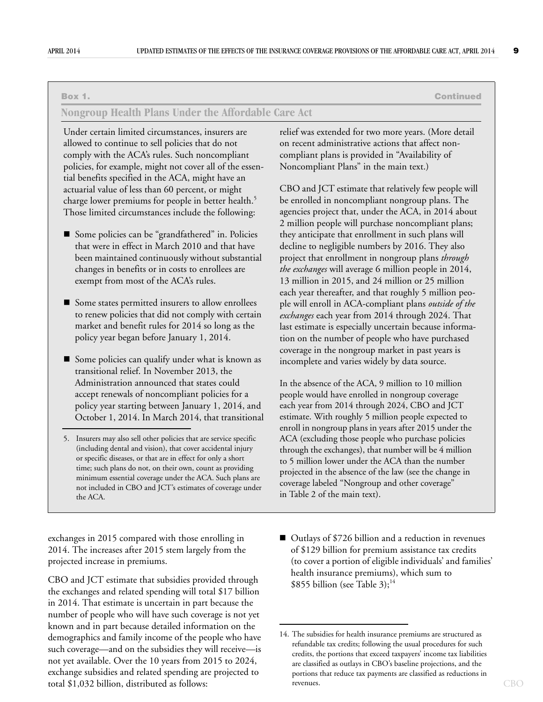**Box 1. Continued**

#### **Nongroup Health Plans Under the Affordable Care Act**

Under certain limited circumstances, insurers are allowed to continue to sell policies that do not comply with the ACA's rules. Such noncompliant policies, for example, might not cover all of the essential benefits specified in the ACA, might have an actuarial value of less than 60 percent, or might charge lower premiums for people in better health.<sup>5</sup> Those limited circumstances include the following:

- Some policies can be "grandfathered" in. Policies that were in effect in March 2010 and that have been maintained continuously without substantial changes in benefits or in costs to enrollees are exempt from most of the ACA's rules.
- Some states permitted insurers to allow enrollees to renew policies that did not comply with certain market and benefit rules for 2014 so long as the policy year began before January 1, 2014.
- Some policies can qualify under what is known as transitional relief. In November 2013, the Administration announced that states could accept renewals of noncompliant policies for a policy year starting between January 1, 2014, and October 1, 2014. In March 2014, that transitional

exchanges in 2015 compared with those enrolling in 2014. The increases after 2015 stem largely from the projected increase in premiums.

CBO and JCT estimate that subsidies provided through the exchanges and related spending will total \$17 billion in 2014. That estimate is uncertain in part because the number of people who will have such coverage is not yet known and in part because detailed information on the demographics and family income of the people who have such coverage—and on the subsidies they will receive—is not yet available. Over the 10 years from 2015 to 2024, exchange subsidies and related spending are projected to total \$1,032 billion, distributed as follows:

relief was extended for two more years. (More detail on recent administrative actions that affect noncompliant plans is provided in "Availability of Noncompliant Plans" in the main text.)

CBO and JCT estimate that relatively few people will be enrolled in noncompliant nongroup plans. The agencies project that, under the ACA, in 2014 about 2 million people will purchase noncompliant plans; they anticipate that enrollment in such plans will decline to negligible numbers by 2016. They also project that enrollment in nongroup plans *through the exchanges* will average 6 million people in 2014, 13 million in 2015, and 24 million or 25 million each year thereafter, and that roughly 5 million people will enroll in ACA-compliant plans *outside of the exchanges* each year from 2014 through 2024. That last estimate is especially uncertain because information on the number of people who have purchased coverage in the nongroup market in past years is incomplete and varies widely by data source.

In the absence of the ACA, 9 million to 10 million people would have enrolled in nongroup coverage each year from 2014 through 2024, CBO and JCT estimate. With roughly 5 million people expected to enroll in nongroup plans in years after 2015 under the ACA (excluding those people who purchase policies through the exchanges), that number will be 4 million to 5 million lower under the ACA than the number projected in the absence of the law (see the change in coverage labeled "Nongroup and other coverage" in [Table 2](#page-7-0) of the main text).

■ Outlays of \$726 billion and a reduction in revenues of \$129 billion for premium assistance tax credits (to cover a portion of eligible individuals' and families' health insurance premiums), which sum to \$855 billion (see [Table 3](#page-13-0)); $^{14}$ 

<sup>5.</sup> Insurers may also sell other policies that are service specific (including dental and vision), that cover accidental injury or specific diseases, or that are in effect for only a short time; such plans do not, on their own, count as providing minimum essential coverage under the ACA. Such plans are not included in CBO and JCT's estimates of coverage under the ACA.

<sup>14.</sup> The subsidies for health insurance premiums are structured as refundable tax credits; following the usual procedures for such credits, the portions that exceed taxpayers' income tax liabilities are classified as outlays in CBO's baseline projections, and the portions that reduce tax payments are classified as reductions in revenues.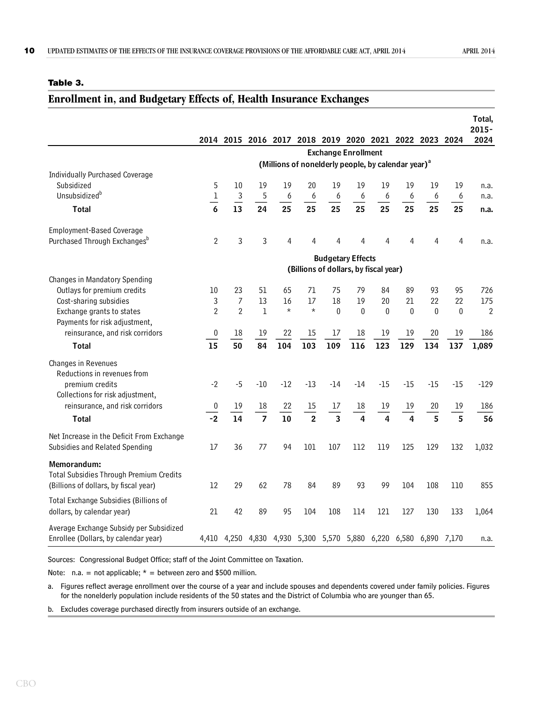#### <span id="page-13-0"></span>**Table 3.**

# <span id="page-13-1"></span>**Enrollment in, and Budgetary Effects of, Health Insurance Exchanges**

|                                                                                                 |                 |                |                |         |                |                                                                   |       |          |          |          |          | Total,<br>$2015 -$ |
|-------------------------------------------------------------------------------------------------|-----------------|----------------|----------------|---------|----------------|-------------------------------------------------------------------|-------|----------|----------|----------|----------|--------------------|
|                                                                                                 |                 |                |                |         |                | 2014 2015 2016 2017 2018 2019 2020 2021 2022 2023 2024            |       |          |          |          |          | 2024               |
|                                                                                                 |                 |                |                |         |                | <b>Exchange Enrollment</b>                                        |       |          |          |          |          |                    |
|                                                                                                 |                 |                |                |         |                | (Millions of nonelderly people, by calendar year) <sup>a</sup>    |       |          |          |          |          |                    |
| <b>Individually Purchased Coverage</b><br>Subsidized                                            | 5               | 10             | 19             | 19      | 20             | 19                                                                | 19    | 19       | 19       | 19       | 19       | n.a.               |
| Unsubsidized <sup>b</sup>                                                                       | $\mathbf 1$     | 3              | 5              | 6       | 6              | 6                                                                 | 6     | 6        | 6        | 6        | 6        | n.a.               |
| <b>Total</b>                                                                                    | $\overline{6}$  | 13             | 24             | 25      | 25             | 25                                                                | 25    | 25       | 25       | 25       | 25       | n.a.               |
| <b>Employment-Based Coverage</b>                                                                |                 |                |                |         |                |                                                                   |       |          |          |          |          |                    |
| Purchased Through Exchanges <sup>b</sup>                                                        | $\overline{2}$  | 3              | 3              | 4       | 4              | 4                                                                 | 4     | 4        | 4        | 4        | 4        | n.a.               |
|                                                                                                 |                 |                |                |         |                | <b>Budgetary Effects</b><br>(Billions of dollars, by fiscal year) |       |          |          |          |          |                    |
| Changes in Mandatory Spending                                                                   |                 |                |                |         |                |                                                                   |       |          |          |          |          |                    |
| Outlays for premium credits                                                                     | 10 <sup>°</sup> | 23             | 51             | 65      | 71             | 75                                                                | 79    | 84       | 89       | 93       | 95       | 726                |
| Cost-sharing subsidies                                                                          | 3               | $\overline{7}$ | 13             | 16      | 17             | 18                                                                | 19    | 20       | 21       | 22       | 22       | 175                |
| Exchange grants to states<br>Payments for risk adjustment,                                      | $\overline{2}$  | $\overline{2}$ | $\mathbf 1$    | $\star$ | $\star$        | $\bf{0}$                                                          | 0     | $\bf{0}$ | $\theta$ | $\theta$ | $\theta$ | $\overline{2}$     |
| reinsurance, and risk corridors                                                                 | $\pmb{0}$       | 18             | 19             | 22      | 15             | 17                                                                | 18    | 19       | 19       | 20       | 19       | 186                |
| <b>Total</b>                                                                                    | 15              | 50             | 84             | 104     | 103            | 109                                                               | 116   | 123      | 129      | 134      | 137      | 1,089              |
| Changes in Revenues                                                                             |                 |                |                |         |                |                                                                   |       |          |          |          |          |                    |
| Reductions in revenues from                                                                     |                 |                |                |         |                |                                                                   |       |          |          |          |          |                    |
| premium credits                                                                                 | $-2$            | $-5$           | $-10$          | $-12$   | $-13$          | $-14$                                                             | $-14$ | $-15$    | $-15$    | $-15$    | $-15$    | $-129$             |
| Collections for risk adjustment,                                                                |                 |                |                |         |                |                                                                   |       |          |          |          |          |                    |
| reinsurance, and risk corridors                                                                 | 0               | 19             | $18\,$         | 22      | 15             | 17                                                                | 18    | 19       | 19       | 20       | 19       | 186                |
| <b>Total</b>                                                                                    | $-2$            | 14             | $\overline{7}$ | 10      | $\overline{2}$ | $\overline{\mathbf{3}}$                                           | 4     | 4        | 4        | 5        | 5        | 56                 |
| Net Increase in the Deficit From Exchange<br>Subsidies and Related Spending                     | 17              | 36             | 77             | 94      | 101            | 107                                                               | 112   | 119      | 125      | 129      | 132      | 1,032              |
| Memorandum:<br>Total Subsidies Through Premium Credits<br>(Billions of dollars, by fiscal year) | 12              | 29             | 62             | 78      | 84             | 89                                                                | 93    | 99       | 104      | 108      | 110      | 855                |
|                                                                                                 |                 |                |                |         |                |                                                                   |       |          |          |          |          |                    |
| Total Exchange Subsidies (Billions of<br>dollars, by calendar year)                             | 21              | 42             | 89             | 95      | 104            | 108                                                               | 114   | 121      | 127      | 130      | 133      | 1,064              |
| Average Exchange Subsidy per Subsidized<br>Enrollee (Dollars, by calendar year)                 |                 |                |                |         |                | 4,410 4,250 4,830 4,930 5,300 5,570 5,880 6,220 6,580 6,890 7,170 |       |          |          |          |          | n.a.               |

Sources: Congressional Budget Office; staff of the Joint Committee on Taxation.

Note: n.a. = not applicable;  $*$  = between zero and \$500 million.

a. Figures reflect average enrollment over the course of a year and include spouses and dependents covered under family policies. Figures for the nonelderly population include residents of the 50 states and the District of Columbia who are younger than 65.

b. Excludes coverage purchased directly from insurers outside of an exchange.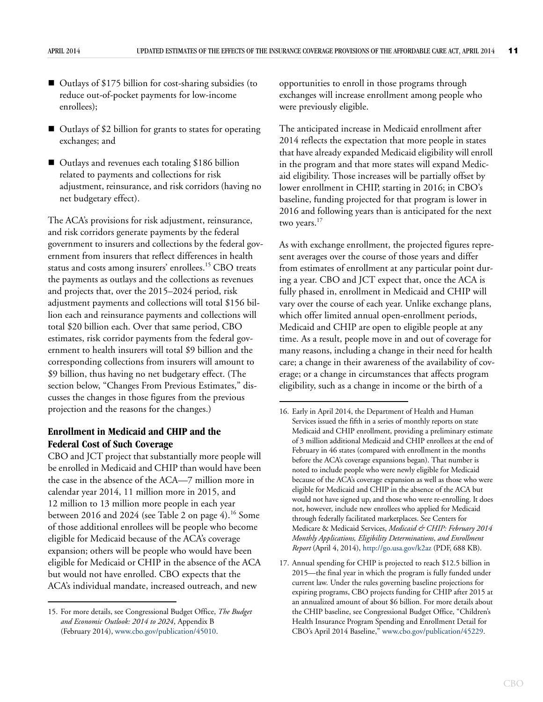- Outlays of \$175 billion for cost-sharing subsidies (to reduce out-of-pocket payments for low-income enrollees);
- Outlays of \$2 billion for grants to states for operating exchanges; and
- Outlays and revenues each totaling \$186 billion related to payments and collections for risk adjustment, reinsurance, and risk corridors (having no net budgetary effect).

The ACA's provisions for risk adjustment, reinsurance, and risk corridors generate payments by the federal government to insurers and collections by the federal government from insurers that reflect differences in health status and costs among insurers' enrollees.<sup>15</sup> CBO treats the payments as outlays and the collections as revenues and projects that, over the 2015–2024 period, risk adjustment payments and collections will total \$156 billion each and reinsurance payments and collections will total \$20 billion each. Over that same period, CBO estimates, risk corridor payments from the federal government to health insurers will total \$9 billion and the corresponding collections from insurers will amount to \$9 billion, thus having no net budgetary effect. (The section below, "Changes From Previous Estimates," discusses the changes in those figures from the previous projection and the reasons for the changes.)

## **Enrollment in Medicaid and CHIP and the Federal Cost of Such Coverage**

CBO and JCT project that substantially more people will be enrolled in Medicaid and CHIP than would have been the case in the absence of the ACA—7 million more in calendar year 2014, 11 million more in 2015, and 12 million to 13 million more people in each year between 2016 and 2024 (see [Table 2 on page 4](#page-7-0)).<sup>16</sup> Some of those additional enrollees will be people who become eligible for Medicaid because of the ACA's coverage expansion; others will be people who would have been eligible for Medicaid or CHIP in the absence of the ACA but would not have enrolled. CBO expects that the ACA's individual mandate, increased outreach, and new

opportunities to enroll in those programs through exchanges will increase enrollment among people who were previously eligible.

The anticipated increase in Medicaid enrollment after 2014 reflects the expectation that more people in states that have already expanded Medicaid eligibility will enroll in the program and that more states will expand Medicaid eligibility. Those increases will be partially offset by lower enrollment in CHIP, starting in 2016; in CBO's baseline, funding projected for that program is lower in 2016 and following years than is anticipated for the next two years.<sup>17</sup>

As with exchange enrollment, the projected figures represent averages over the course of those years and differ from estimates of enrollment at any particular point during a year. CBO and JCT expect that, once the ACA is fully phased in, enrollment in Medicaid and CHIP will vary over the course of each year. Unlike exchange plans, which offer limited annual open-enrollment periods, Medicaid and CHIP are open to eligible people at any time. As a result, people move in and out of coverage for many reasons, including a change in their need for health care; a change in their awareness of the availability of coverage; or a change in circumstances that affects program eligibility, such as a change in income or the birth of a

<sup>15.</sup> For more details, see Congressional Budget Office, *The Budget and Economic Outlook: 2014 to 2024*, Appendix B (February 2014), [www.cbo.gov/publication/45010.](http://www.cbo.gov/publication/45010)

<sup>16.</sup> Early in April 2014, the Department of Health and Human Services issued the fifth in a series of monthly reports on state Medicaid and CHIP enrollment, providing a preliminary estimate of 3 million additional Medicaid and CHIP enrollees at the end of February in 46 states (compared with enrollment in the months before the ACA's coverage expansions began). That number is noted to include people who were newly eligible for Medicaid because of the ACA's coverage expansion as well as those who were eligible for Medicaid and CHIP in the absence of the ACA but would not have signed up, and those who were re-enrolling. It does not, however, include new enrollees who applied for Medicaid through federally facilitated marketplaces. See Centers for Medicare & Medicaid Services, *Medicaid & CHIP: February 2014 Monthly Applications, Eligibility Determinations, and Enrollment Report* (April 4, 2014),<http://go.usa.gov/k2az>(PDF, 688 KB).

<sup>17.</sup> Annual spending for CHIP is projected to reach \$12.5 billion in 2015—the final year in which the program is fully funded under current law. Under the rules governing baseline projections for expiring programs, CBO projects funding for CHIP after 2015 at an annualized amount of about \$6 billion. For more details about the CHIP baseline, see Congressional Budget Office, "Children's Health Insurance Program Spending and Enrollment Detail for CBO's April 2014 Baseline," [www.cbo.gov/publication/45229](
http://www.cbo.gov/publication/45229).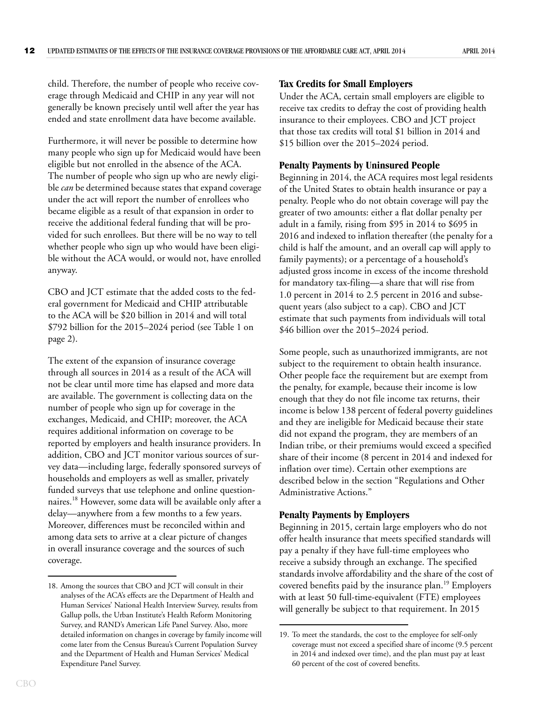child. Therefore, the number of people who receive coverage through Medicaid and CHIP in any year will not generally be known precisely until well after the year has ended and state enrollment data have become available.

Furthermore, it will never be possible to determine how many people who sign up for Medicaid would have been eligible but not enrolled in the absence of the ACA. The number of people who sign up who are newly eligible *can* be determined because states that expand coverage under the act will report the number of enrollees who became eligible as a result of that expansion in order to receive the additional federal funding that will be provided for such enrollees. But there will be no way to tell whether people who sign up who would have been eligible without the ACA would, or would not, have enrolled anyway.

CBO and JCT estimate that the added costs to the federal government for Medicaid and CHIP attributable to the ACA will be \$20 billion in 2014 and will total \$792 billion for the 2015–2024 period (see [Table 1 on](#page-5-0)  [page 2](#page-5-0)).

The extent of the expansion of insurance coverage through all sources in 2014 as a result of the ACA will not be clear until more time has elapsed and more data are available. The government is collecting data on the number of people who sign up for coverage in the exchanges, Medicaid, and CHIP; moreover, the ACA requires additional information on coverage to be reported by employers and health insurance providers. In addition, CBO and JCT monitor various sources of survey data—including large, federally sponsored surveys of households and employers as well as smaller, privately funded surveys that use telephone and online questionnaires.18 However, some data will be available only after a delay—anywhere from a few months to a few years. Moreover, differences must be reconciled within and among data sets to arrive at a clear picture of changes in overall insurance coverage and the sources of such coverage.

#### **Tax Credits for Small Employers**

Under the ACA, certain small employers are eligible to receive tax credits to defray the cost of providing health insurance to their employees. CBO and JCT project that those tax credits will total \$1 billion in 2014 and \$15 billion over the 2015–2024 period.

#### **Penalty Payments by Uninsured People**

Beginning in 2014, the ACA requires most legal residents of the United States to obtain health insurance or pay a penalty. People who do not obtain coverage will pay the greater of two amounts: either a flat dollar penalty per adult in a family, rising from \$95 in 2014 to \$695 in 2016 and indexed to inflation thereafter (the penalty for a child is half the amount, and an overall cap will apply to family payments); or a percentage of a household's adjusted gross income in excess of the income threshold for mandatory tax-filing—a share that will rise from 1.0 percent in 2014 to 2.5 percent in 2016 and subsequent years (also subject to a cap). CBO and JCT estimate that such payments from individuals will total \$46 billion over the 2015–2024 period.

Some people, such as unauthorized immigrants, are not subject to the requirement to obtain health insurance. Other people face the requirement but are exempt from the penalty, for example, because their income is low enough that they do not file income tax returns, their income is below 138 percent of federal poverty guidelines and they are ineligible for Medicaid because their state did not expand the program, they are members of an Indian tribe, or their premiums would exceed a specified share of their income (8 percent in 2014 and indexed for inflation over time). Certain other exemptions are described below in the section "Regulations and Other Administrative Actions."

#### **Penalty Payments by Employers**

Beginning in 2015, certain large employers who do not offer health insurance that meets specified standards will pay a penalty if they have full-time employees who receive a subsidy through an exchange. The specified standards involve affordability and the share of the cost of covered benefits paid by the insurance plan.<sup>19</sup> Employers with at least 50 full-time-equivalent (FTE) employees will generally be subject to that requirement. In 2015

<sup>18.</sup> Among the sources that CBO and JCT will consult in their analyses of the ACA's effects are the Department of Health and Human Services' National Health Interview Survey, results from Gallup polls, the Urban Institute's Health Reform Monitoring Survey, and RAND's American Life Panel Survey. Also, more detailed information on changes in coverage by family income will come later from the Census Bureau's Current Population Survey and the Department of Health and Human Services' Medical Expenditure Panel Survey.

<sup>19.</sup> To meet the standards, the cost to the employee for self-only coverage must not exceed a specified share of income (9.5 percent in 2014 and indexed over time), and the plan must pay at least 60 percent of the cost of covered benefits.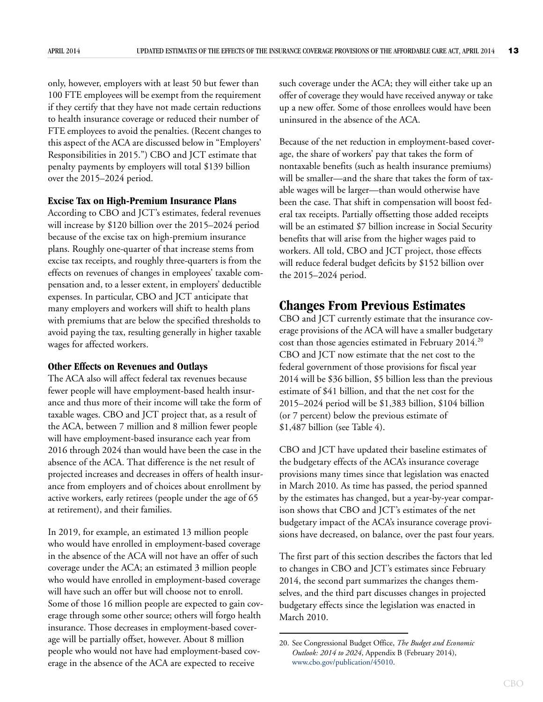only, however, employers with at least 50 but fewer than 100 FTE employees will be exempt from the requirement if they certify that they have not made certain reductions to health insurance coverage or reduced their number of FTE employees to avoid the penalties. (Recent changes to this aspect of the ACA are discussed below in "Employers' Responsibilities in 2015.") CBO and JCT estimate that penalty payments by employers will total \$139 billion over the 2015–2024 period.

#### **Excise Tax on High-Premium Insurance Plans**

According to CBO and JCT's estimates, federal revenues will increase by \$120 billion over the 2015–2024 period because of the excise tax on high-premium insurance plans. Roughly one-quarter of that increase stems from excise tax receipts, and roughly three-quarters is from the effects on revenues of changes in employees' taxable compensation and, to a lesser extent, in employers' deductible expenses. In particular, CBO and JCT anticipate that many employers and workers will shift to health plans with premiums that are below the specified thresholds to avoid paying the tax, resulting generally in higher taxable wages for affected workers.

#### **Other Effects on Revenues and Outlays**

The ACA also will affect federal tax revenues because fewer people will have employment-based health insurance and thus more of their income will take the form of taxable wages. CBO and JCT project that, as a result of the ACA, between 7 million and 8 million fewer people will have employment-based insurance each year from 2016 through 2024 than would have been the case in the absence of the ACA. That difference is the net result of projected increases and decreases in offers of health insurance from employers and of choices about enrollment by active workers, early retirees (people under the age of 65 at retirement), and their families.

In 2019, for example, an estimated 13 million people who would have enrolled in employment-based coverage in the absence of the ACA will not have an offer of such coverage under the ACA; an estimated 3 million people who would have enrolled in employment-based coverage will have such an offer but will choose not to enroll. Some of those 16 million people are expected to gain coverage through some other source; others will forgo health insurance. Those decreases in employment-based coverage will be partially offset, however. About 8 million people who would not have had employment-based coverage in the absence of the ACA are expected to receive

such coverage under the ACA; they will either take up an offer of coverage they would have received anyway or take up a new offer. Some of those enrollees would have been uninsured in the absence of the ACA.

Because of the net reduction in employment-based coverage, the share of workers' pay that takes the form of nontaxable benefits (such as health insurance premiums) will be smaller—and the share that takes the form of taxable wages will be larger—than would otherwise have been the case. That shift in compensation will boost federal tax receipts. Partially offsetting those added receipts will be an estimated \$7 billion increase in Social Security benefits that will arise from the higher wages paid to workers. All told, CBO and JCT project, those effects will reduce federal budget deficits by \$152 billion over the 2015–2024 period.

# **Changes From Previous Estimates**

CBO and JCT currently estimate that the insurance coverage provisions of the ACA will have a smaller budgetary cost than those agencies estimated in February 2014.<sup>20</sup> CBO and JCT now estimate that the net cost to the federal government of those provisions for fiscal year 2014 will be \$36 billion, \$5 billion less than the previous estimate of \$41 billion, and that the net cost for the 2015–2024 period will be \$1,383 billion, \$104 billion (or 7 percent) below the previous estimate of \$1,487 billion (see [Table 4](#page-17-0)).

CBO and JCT have updated their baseline estimates of the budgetary effects of the ACA's insurance coverage provisions many times since that legislation was enacted in March 2010. As time has passed, the period spanned by the estimates has changed, but a year-by-year comparison shows that CBO and JCT's estimates of the net budgetary impact of the ACA's insurance coverage provisions have decreased, on balance, over the past four years.

The first part of this section describes the factors that led to changes in CBO and JCT's estimates since February 2014, the second part summarizes the changes themselves, and the third part discusses changes in projected budgetary effects since the legislation was enacted in March 2010.

<sup>20.</sup> See Congressional Budget Office, *The Budget and Economic Outlook: 2014 to 2024*, Appendix B (February 2014), [www.cbo.gov/publication/45010](http://www.cbo.gov/publication/45010).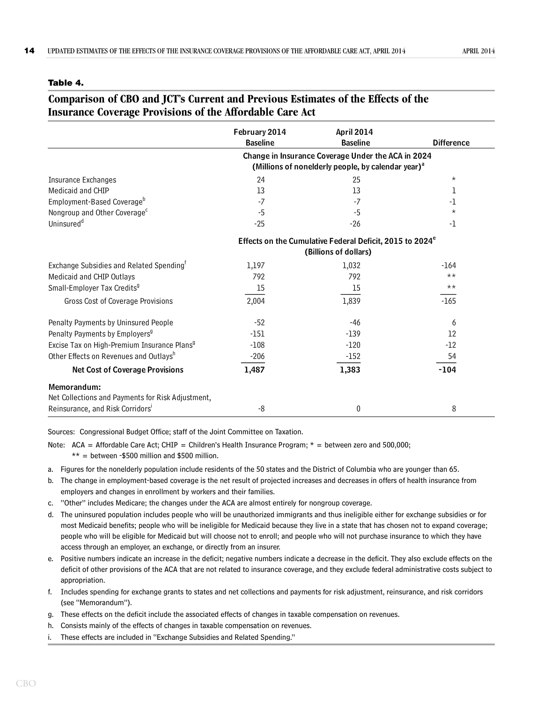#### <span id="page-17-0"></span>**Table 4.**

# **Comparison of CBO and JCT's Current and Previous Estimates of the Effects of the Insurance Coverage Provisions of the Affordable Care Act**

|                                                                  | February 2014<br><b>Baseline</b>                                                                                     | <b>April 2014</b><br><b>Baseline</b>                                                          | <b>Difference</b> |  |  |  |  |  |  |
|------------------------------------------------------------------|----------------------------------------------------------------------------------------------------------------------|-----------------------------------------------------------------------------------------------|-------------------|--|--|--|--|--|--|
|                                                                  | Change in Insurance Coverage Under the ACA in 2024<br>(Millions of nonelderly people, by calendar year) <sup>a</sup> |                                                                                               |                   |  |  |  |  |  |  |
| <b>Insurance Exchanges</b>                                       | 24                                                                                                                   | 25                                                                                            | $\star$           |  |  |  |  |  |  |
| Medicaid and CHIP                                                | 13                                                                                                                   | 13                                                                                            | ı                 |  |  |  |  |  |  |
| Employment-Based Coverage <sup>b</sup>                           | $-7$                                                                                                                 | $-7$                                                                                          | -1                |  |  |  |  |  |  |
| Nongroup and Other Coverage <sup>c</sup>                         | $-5$                                                                                                                 | $-5$                                                                                          | $\star$           |  |  |  |  |  |  |
| Uninsured <sup>d</sup>                                           | $-25$                                                                                                                | $-26$                                                                                         | -1                |  |  |  |  |  |  |
|                                                                  |                                                                                                                      | Effects on the Cumulative Federal Deficit, 2015 to 2024 <sup>e</sup><br>(Billions of dollars) |                   |  |  |  |  |  |  |
| Exchange Subsidies and Related Spending <sup>t</sup>             | 1,197                                                                                                                | 1,032                                                                                         | $-164$            |  |  |  |  |  |  |
| Medicaid and CHIP Outlays                                        | 792                                                                                                                  | 792                                                                                           | $***$             |  |  |  |  |  |  |
| Small-Employer Tax Credits <sup>9</sup>                          | 15                                                                                                                   | 15                                                                                            | $***$             |  |  |  |  |  |  |
| Gross Cost of Coverage Provisions                                | 2,004                                                                                                                | 1,839                                                                                         | $-165$            |  |  |  |  |  |  |
| Penalty Payments by Uninsured People                             | $-52$                                                                                                                | -46                                                                                           | 6                 |  |  |  |  |  |  |
| Penalty Payments by Employers <sup>9</sup>                       | -151                                                                                                                 | $-139$                                                                                        | $12 \overline{ }$ |  |  |  |  |  |  |
| Excise Tax on High-Premium Insurance Plans <sup>9</sup>          | $-108$                                                                                                               | $-120$                                                                                        | $-12$             |  |  |  |  |  |  |
| Other Effects on Revenues and Outlaysh                           | $-206$                                                                                                               | $-152$                                                                                        | 54                |  |  |  |  |  |  |
| <b>Net Cost of Coverage Provisions</b>                           | 1,487                                                                                                                | 1,383                                                                                         | $-104$            |  |  |  |  |  |  |
| Memorandum:<br>Net Collections and Payments for Risk Adjustment, |                                                                                                                      |                                                                                               |                   |  |  |  |  |  |  |
| Reinsurance, and Risk Corridors'                                 | -8                                                                                                                   | 0                                                                                             | 8                 |  |  |  |  |  |  |

Sources: Congressional Budget Office; staff of the Joint Committee on Taxation.

Note: ACA = Affordable Care Act; CHIP = Children's Health Insurance Program;  $*$  = between zero and 500,000;

 $**$  = between -\$500 million and \$500 million.

a. Figures for the nonelderly population include residents of the 50 states and the District of Columbia who are younger than 65.

- b. The change in employment-based coverage is the net result of projected increases and decreases in offers of health insurance from employers and changes in enrollment by workers and their families.
- c. "Other" includes Medicare; the changes under the ACA are almost entirely for nongroup coverage.
- d. The uninsured population includes people who will be unauthorized immigrants and thus ineligible either for exchange subsidies or for most Medicaid benefits; people who will be ineligible for Medicaid because they live in a state that has chosen not to expand coverage; people who will be eligible for Medicaid but will choose not to enroll; and people who will not purchase insurance to which they have access through an employer, an exchange, or directly from an insurer.
- e. Positive numbers indicate an increase in the deficit; negative numbers indicate a decrease in the deficit. They also exclude effects on the deficit of other provisions of the ACA that are not related to insurance coverage, and they exclude federal administrative costs subject to appropriation.
- f. Includes spending for exchange grants to states and net collections and payments for risk adjustment, reinsurance, and risk corridors (see "Memorandum").
- g. These effects on the deficit include the associated effects of changes in taxable compensation on revenues.
- h. Consists mainly of the effects of changes in taxable compensation on revenues.
- i. These effects are included in "Exchange Subsidies and Related Spending."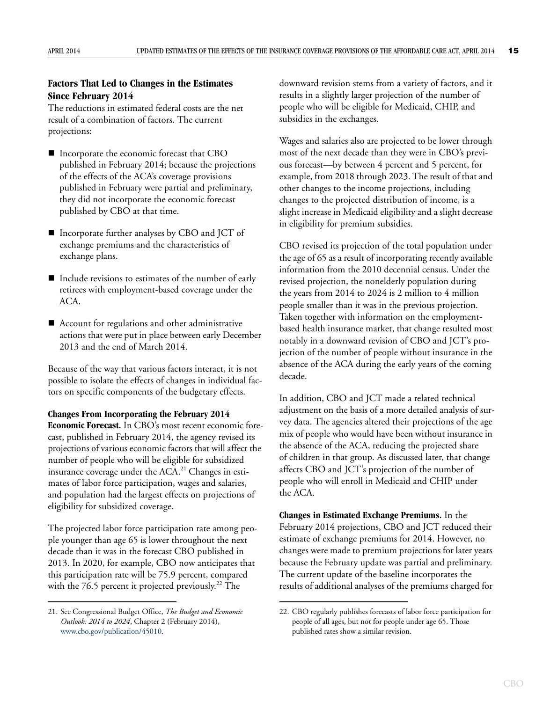## **Factors That Led to Changes in the Estimates Since February 2014**

The reductions in estimated federal costs are the net result of a combination of factors. The current projections:

- Incorporate the economic forecast that CBO published in February 2014; because the projections of the effects of the ACA's coverage provisions published in February were partial and preliminary, they did not incorporate the economic forecast published by CBO at that time.
- Incorporate further analyses by CBO and JCT of exchange premiums and the characteristics of exchange plans.
- Include revisions to estimates of the number of early retirees with employment-based coverage under the ACA.
- Account for regulations and other administrative actions that were put in place between early December 2013 and the end of March 2014.

Because of the way that various factors interact, it is not possible to isolate the effects of changes in individual factors on specific components of the budgetary effects.

**Changes From Incorporating the February 2014 Economic Forecast.** In CBO's most recent economic forecast, published in February 2014, the agency revised its projections of various economic factors that will affect the number of people who will be eligible for subsidized insurance coverage under the  $ACA<sup>21</sup>$  Changes in estimates of labor force participation, wages and salaries, and population had the largest effects on projections of eligibility for subsidized coverage.

The projected labor force participation rate among people younger than age 65 is lower throughout the next decade than it was in the forecast CBO published in 2013. In 2020, for example, CBO now anticipates that this participation rate will be 75.9 percent, compared with the 76.5 percent it projected previously.<sup>22</sup> The

downward revision stems from a variety of factors, and it results in a slightly larger projection of the number of people who will be eligible for Medicaid, CHIP, and subsidies in the exchanges.

Wages and salaries also are projected to be lower through most of the next decade than they were in CBO's previous forecast—by between 4 percent and 5 percent, for example, from 2018 through 2023. The result of that and other changes to the income projections, including changes to the projected distribution of income, is a slight increase in Medicaid eligibility and a slight decrease in eligibility for premium subsidies.

CBO revised its projection of the total population under the age of 65 as a result of incorporating recently available information from the 2010 decennial census. Under the revised projection, the nonelderly population during the years from 2014 to 2024 is 2 million to 4 million people smaller than it was in the previous projection. Taken together with information on the employmentbased health insurance market, that change resulted most notably in a downward revision of CBO and JCT's projection of the number of people without insurance in the absence of the ACA during the early years of the coming decade.

In addition, CBO and JCT made a related technical adjustment on the basis of a more detailed analysis of survey data. The agencies altered their projections of the age mix of people who would have been without insurance in the absence of the ACA, reducing the projected share of children in that group. As discussed later, that change affects CBO and JCT's projection of the number of people who will enroll in Medicaid and CHIP under the ACA.

**Changes in Estimated Exchange Premiums.** In the February 2014 projections, CBO and JCT reduced their estimate of exchange premiums for 2014. However, no changes were made to premium projections for later years because the February update was partial and preliminary. The current update of the baseline incorporates the results of additional analyses of the premiums charged for

<sup>21.</sup> See Congressional Budget Office, *The Budget and Economic Outlook: 2014 to 2024*, Chapter 2 (February 2014), [www.cbo.gov/publication/45010](http://www.cbo.gov/publication/45010).

<sup>22.</sup> CBO regularly publishes forecasts of labor force participation for people of all ages, but not for people under age 65. Those published rates show a similar revision.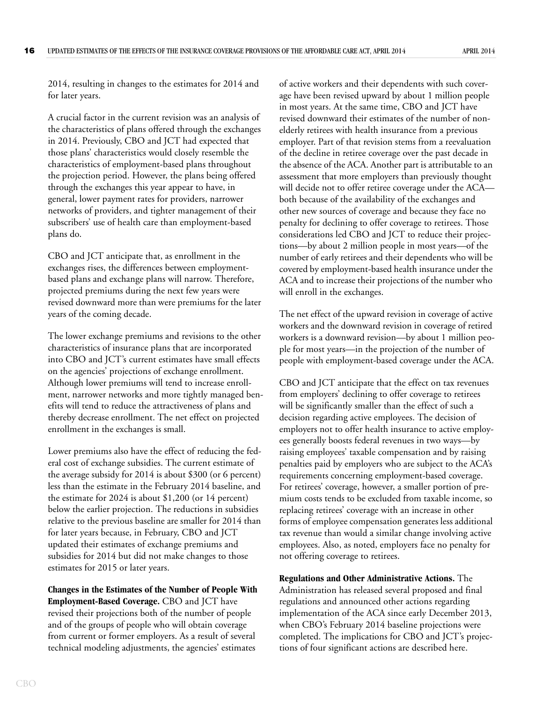2014, resulting in changes to the estimates for 2014 and for later years.

A crucial factor in the current revision was an analysis of the characteristics of plans offered through the exchanges in 2014. Previously, CBO and JCT had expected that those plans' characteristics would closely resemble the characteristics of employment-based plans throughout the projection period. However, the plans being offered through the exchanges this year appear to have, in general, lower payment rates for providers, narrower networks of providers, and tighter management of their subscribers' use of health care than employment-based plans do.

CBO and JCT anticipate that, as enrollment in the exchanges rises, the differences between employmentbased plans and exchange plans will narrow. Therefore, projected premiums during the next few years were revised downward more than were premiums for the later years of the coming decade.

The lower exchange premiums and revisions to the other characteristics of insurance plans that are incorporated into CBO and JCT's current estimates have small effects on the agencies' projections of exchange enrollment. Although lower premiums will tend to increase enrollment, narrower networks and more tightly managed benefits will tend to reduce the attractiveness of plans and thereby decrease enrollment. The net effect on projected enrollment in the exchanges is small.

Lower premiums also have the effect of reducing the federal cost of exchange subsidies. The current estimate of the average subsidy for 2014 is about \$300 (or 6 percent) less than the estimate in the February 2014 baseline, and the estimate for 2024 is about \$1,200 (or 14 percent) below the earlier projection. The reductions in subsidies relative to the previous baseline are smaller for 2014 than for later years because, in February, CBO and JCT updated their estimates of exchange premiums and subsidies for 2014 but did not make changes to those estimates for 2015 or later years.

**Changes in the Estimates of the Number of People With Employment-Based Coverage.** CBO and JCT have revised their projections both of the number of people and of the groups of people who will obtain coverage from current or former employers. As a result of several technical modeling adjustments, the agencies' estimates

of active workers and their dependents with such coverage have been revised upward by about 1 million people in most years. At the same time, CBO and JCT have revised downward their estimates of the number of nonelderly retirees with health insurance from a previous employer. Part of that revision stems from a reevaluation of the decline in retiree coverage over the past decade in the absence of the ACA. Another part is attributable to an assessment that more employers than previously thought will decide not to offer retiree coverage under the ACA both because of the availability of the exchanges and other new sources of coverage and because they face no penalty for declining to offer coverage to retirees. Those considerations led CBO and JCT to reduce their projections—by about 2 million people in most years—of the number of early retirees and their dependents who will be covered by employment-based health insurance under the ACA and to increase their projections of the number who will enroll in the exchanges.

The net effect of the upward revision in coverage of active workers and the downward revision in coverage of retired workers is a downward revision—by about 1 million people for most years—in the projection of the number of people with employment-based coverage under the ACA.

CBO and JCT anticipate that the effect on tax revenues from employers' declining to offer coverage to retirees will be significantly smaller than the effect of such a decision regarding active employees. The decision of employers not to offer health insurance to active employees generally boosts federal revenues in two ways—by raising employees' taxable compensation and by raising penalties paid by employers who are subject to the ACA's requirements concerning employment-based coverage. For retirees' coverage, however, a smaller portion of premium costs tends to be excluded from taxable income, so replacing retirees' coverage with an increase in other forms of employee compensation generates less additional tax revenue than would a similar change involving active employees. Also, as noted, employers face no penalty for not offering coverage to retirees.

**Regulations and Other Administrative Actions.** The Administration has released several proposed and final regulations and announced other actions regarding implementation of the ACA since early December 2013, when CBO's February 2014 baseline projections were completed. The implications for CBO and JCT's projections of four significant actions are described here.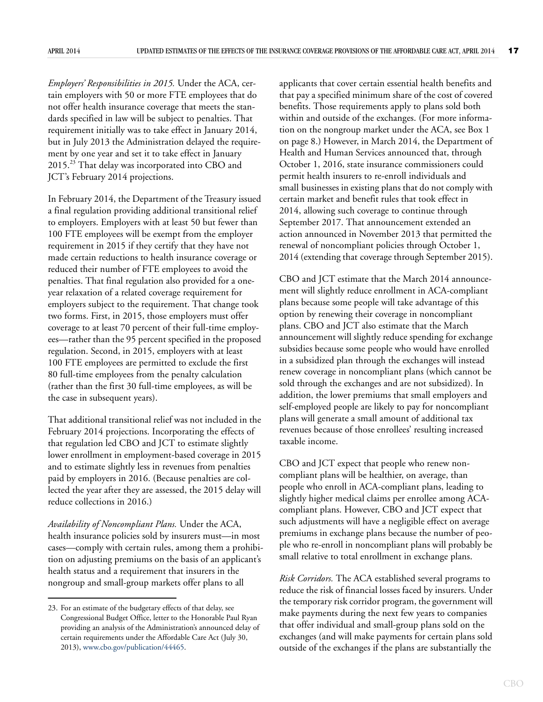*Employers' Responsibilities in 2015.* Under the ACA, certain employers with 50 or more FTE employees that do not offer health insurance coverage that meets the standards specified in law will be subject to penalties. That requirement initially was to take effect in January 2014, but in July 2013 the Administration delayed the requirement by one year and set it to take effect in January 2015.23 That delay was incorporated into CBO and JCT's February 2014 projections.

In February 2014, the Department of the Treasury issued a final regulation providing additional transitional relief to employers. Employers with at least 50 but fewer than 100 FTE employees will be exempt from the employer requirement in 2015 if they certify that they have not made certain reductions to health insurance coverage or reduced their number of FTE employees to avoid the penalties. That final regulation also provided for a oneyear relaxation of a related coverage requirement for employers subject to the requirement. That change took two forms. First, in 2015, those employers must offer coverage to at least 70 percent of their full-time employees—rather than the 95 percent specified in the proposed regulation. Second, in 2015, employers with at least 100 FTE employees are permitted to exclude the first 80 full-time employees from the penalty calculation (rather than the first 30 full-time employees, as will be the case in subsequent years).

That additional transitional relief was not included in the February 2014 projections. Incorporating the effects of that regulation led CBO and JCT to estimate slightly lower enrollment in employment-based coverage in 2015 and to estimate slightly less in revenues from penalties paid by employers in 2016. (Because penalties are collected the year after they are assessed, the 2015 delay will reduce collections in 2016.)

*Availability of Noncompliant Plans.* Under the ACA, health insurance policies sold by insurers must—in most cases—comply with certain rules, among them a prohibition on adjusting premiums on the basis of an applicant's health status and a requirement that insurers in the nongroup and small-group markets offer plans to all

applicants that cover certain essential health benefits and that pay a specified minimum share of the cost of covered benefits. Those requirements apply to plans sold both within and outside of the exchanges. (For more information on the nongroup market under the ACA, see [Box 1](#page-11-0)  [on page 8.](#page-11-0)) However, in March 2014, the Department of Health and Human Services announced that, through October 1, 2016, state insurance commissioners could permit health insurers to re-enroll individuals and small businesses in existing plans that do not comply with certain market and benefit rules that took effect in 2014, allowing such coverage to continue through September 2017. That announcement extended an action announced in November 2013 that permitted the renewal of noncompliant policies through October 1, 2014 (extending that coverage through September 2015).

CBO and JCT estimate that the March 2014 announcement will slightly reduce enrollment in ACA-compliant plans because some people will take advantage of this option by renewing their coverage in noncompliant plans. CBO and JCT also estimate that the March announcement will slightly reduce spending for exchange subsidies because some people who would have enrolled in a subsidized plan through the exchanges will instead renew coverage in noncompliant plans (which cannot be sold through the exchanges and are not subsidized). In addition, the lower premiums that small employers and self-employed people are likely to pay for noncompliant plans will generate a small amount of additional tax revenues because of those enrollees' resulting increased taxable income.

CBO and JCT expect that people who renew noncompliant plans will be healthier, on average, than people who enroll in ACA-compliant plans, leading to slightly higher medical claims per enrollee among ACAcompliant plans. However, CBO and JCT expect that such adjustments will have a negligible effect on average premiums in exchange plans because the number of people who re-enroll in noncompliant plans will probably be small relative to total enrollment in exchange plans.

*Risk Corridors.* The ACA established several programs to reduce the risk of financial losses faced by insurers. Under the temporary risk corridor program, the government will make payments during the next few years to companies that offer individual and small-group plans sold on the exchanges (and will make payments for certain plans sold outside of the exchanges if the plans are substantially the

<sup>23.</sup> For an estimate of the budgetary effects of that delay, see Congressional Budget Office, letter to the Honorable Paul Ryan providing an analysis of the Administration's announced delay of certain requirements under the Affordable Care Act (July 30, 2013), [www.cbo.gov/publication/44465.](http://www.cbo.gov/publication/44465)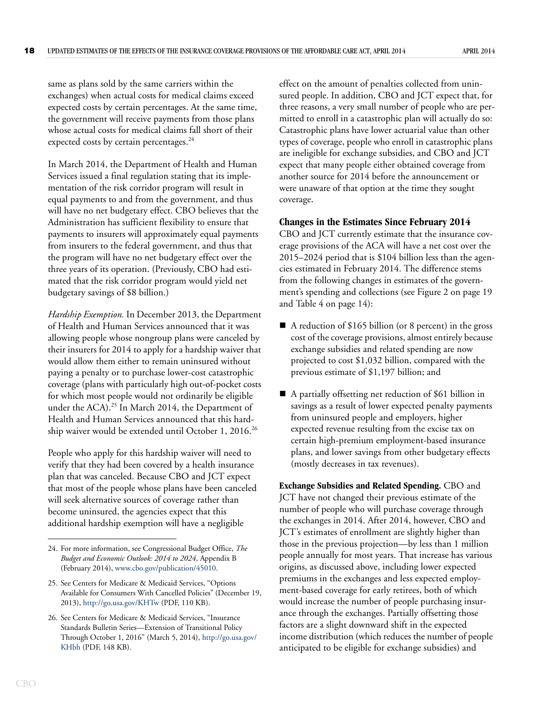same as plans sold by the same carriers within the exchanges) when actual costs for medical claims exceed expected costs by certain percentages. At the same time, the government will receive payments from those plans whose actual costs for medical claims fall short of their expected costs by certain percentages.<sup>24</sup>

In March 2014, the Department of Health and Human Services issued a final regulation stating that its implementation of the risk corridor program will result in equal payments to and from the government, and thus will have no net budgetary effect. CBO believes that the Administration has sufficient flexibility to ensure that payments to insurers will approximately equal payments from insurers to the federal government, and thus that the program will have no net budgetary effect over the three years of its operation. (Previously, CBO had estimated that the risk corridor program would yield net budgetary savings of \$8 billion.)

*Hardship Exemption.* In December 2013, the Department of Health and Human Services announced that it was allowing people whose nongroup plans were canceled by their insurers for 2014 to apply for a hardship waiver that would allow them either to remain uninsured without paying a penalty or to purchase lower-cost catastrophic coverage (plans with particularly high out-of-pocket costs for which most people would not ordinarily be eligible under the ACA).<sup>25</sup> In March 2014, the Department of Health and Human Services announced that this hardship waiver would be extended until October 1, 2016.<sup>26</sup>

People who apply for this hardship waiver will need to verify that they had been covered by a health insurance plan that was canceled. Because CBO and JCT expect that most of the people whose plans have been canceled will seek alternative sources of coverage rather than become uninsured, the agencies expect that this additional hardship exemption will have a negligible

effect on the amount of penalties collected from uninsured people. In addition, CBO and JCT expect that, for three reasons, a very small number of people who are permitted to enroll in a catastrophic plan will actually do so: Catastrophic plans have lower actuarial value than other types of coverage, people who enroll in catastrophic plans are ineligible for exchange subsidies, and CBO and JCT expect that many people either obtained coverage from another source for 2014 before the announcement or were unaware of that option at the time they sought coverage.

#### **Changes in the Estimates Since February 2014**

CBO and JCT currently estimate that the insurance coverage provisions of the ACA will have a net cost over the 2015–2024 period that is \$104 billion less than the agencies estimated in February 2014. The difference stems from the following changes in estimates of the government's spending and collections (see [Figure 2 on page 19](#page-22-0) and [Table 4 on page 14](#page-17-0)):

- A reduction of \$165 billion (or 8 percent) in the gross cost of the coverage provisions, almost entirely because exchange subsidies and related spending are now projected to cost \$1,032 billion, compared with the previous estimate of \$1,197 billion; and
- A partially offsetting net reduction of \$61 billion in savings as a result of lower expected penalty payments from uninsured people and employers, higher expected revenue resulting from the excise tax on certain high-premium employment-based insurance plans, and lower savings from other budgetary effects (mostly decreases in tax revenues).

**Exchange Subsidies and Related Spending.** CBO and JCT have not changed their previous estimate of the number of people who will purchase coverage through the exchanges in 2014. After 2014, however, CBO and JCT's estimates of enrollment are slightly higher than those in the previous projection—by less than 1 million people annually for most years. That increase has various origins, as discussed above, including lower expected premiums in the exchanges and less expected employment-based coverage for early retirees, both of which would increase the number of people purchasing insurance through the exchanges. Partially offsetting those factors are a slight downward shift in the expected income distribution (which reduces the number of people anticipated to be eligible for exchange subsidies) and

<sup>24.</sup> For more information, see Congressional Budget Office, *The Budget and Economic Outlook: 2014 to 2024*, Appendix B (February 2014), [www.cbo.gov/publication/45010.](http://www.cbo.gov/publication/45010)

<sup>25.</sup> See Centers for Medicare & Medicaid Services, "Options Available for Consumers With Cancelled Policies" (December 19, 2013), <http://go.usa.gov/KHTw>(PDF, 110 KB).

<sup>26.</sup> See Centers for Medicare & Medicaid Services, "Insurance Standards Bulletin Series—Extension of Transitional Policy Through October 1, 2016" (March 5, 2014), [http://go.usa.gov/](http://go.usa.gov/KHbh) [KHbh](http://go.usa.gov/KHbh) (PDF, 148 KB).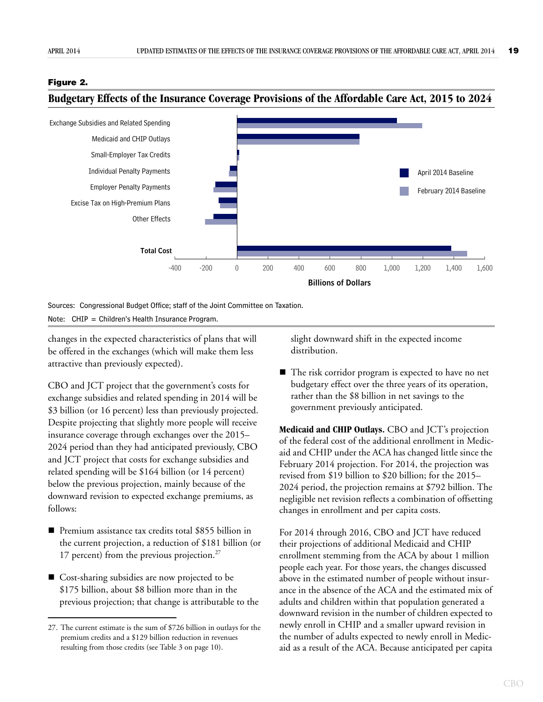#### <span id="page-22-0"></span>**Figure 2.**



<span id="page-22-1"></span>**Budgetary Effects of the Insurance Coverage Provisions of the Affordable Care Act, 2015 to 2024** 

Sources: Congressional Budget Office; staff of the Joint Committee on Taxation. Note: CHIP = Children's Health Insurance Program.

changes in the expected characteristics of plans that will be offered in the exchanges (which will make them less attractive than previously expected).

CBO and JCT project that the government's costs for exchange subsidies and related spending in 2014 will be \$3 billion (or 16 percent) less than previously projected. Despite projecting that slightly more people will receive insurance coverage through exchanges over the 2015– 2024 period than they had anticipated previously, CBO and JCT project that costs for exchange subsidies and related spending will be \$164 billion (or 14 percent) below the previous projection, mainly because of the downward revision to expected exchange premiums, as follows:

- Premium assistance tax credits total \$855 billion in the current projection, a reduction of \$181 billion (or 17 percent) from the previous projection.<sup>27</sup>
- Cost-sharing subsidies are now projected to be \$175 billion, about \$8 billion more than in the previous projection; that change is attributable to the

slight downward shift in the expected income distribution.

■ The risk corridor program is expected to have no net budgetary effect over the three years of its operation, rather than the \$8 billion in net savings to the government previously anticipated.

**Medicaid and CHIP Outlays.** CBO and JCT's projection of the federal cost of the additional enrollment in Medicaid and CHIP under the ACA has changed little since the February 2014 projection. For 2014, the projection was revised from \$19 billion to \$20 billion; for the 2015– 2024 period, the projection remains at \$792 billion. The negligible net revision reflects a combination of offsetting changes in enrollment and per capita costs.

For 2014 through 2016, CBO and JCT have reduced their projections of additional Medicaid and CHIP enrollment stemming from the ACA by about 1 million people each year. For those years, the changes discussed above in the estimated number of people without insurance in the absence of the ACA and the estimated mix of adults and children within that population generated a downward revision in the number of children expected to newly enroll in CHIP and a smaller upward revision in the number of adults expected to newly enroll in Medicaid as a result of the ACA. Because anticipated per capita

<sup>27.</sup> The current estimate is the sum of \$726 billion in outlays for the premium credits and a \$129 billion reduction in revenues resulting from those credits (see [Table 3 on page 10](#page-13-0)).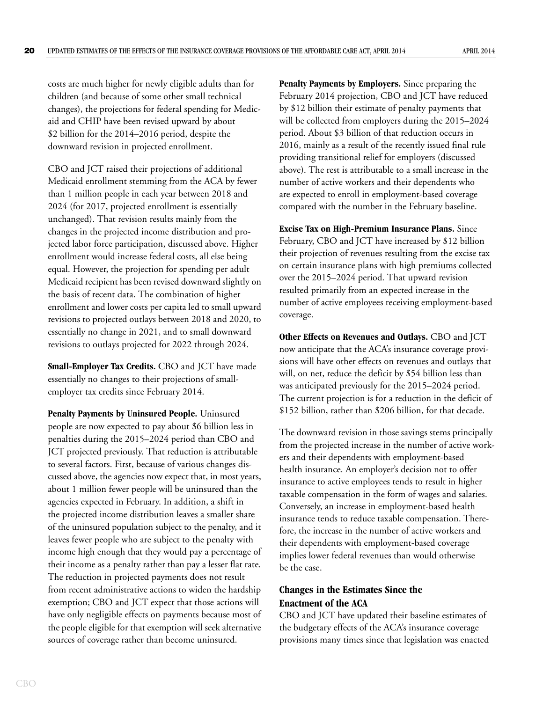costs are much higher for newly eligible adults than for children (and because of some other small technical changes), the projections for federal spending for Medicaid and CHIP have been revised upward by about \$2 billion for the 2014–2016 period, despite the downward revision in projected enrollment.

CBO and JCT raised their projections of additional Medicaid enrollment stemming from the ACA by fewer than 1 million people in each year between 2018 and 2024 (for 2017, projected enrollment is essentially unchanged). That revision results mainly from the changes in the projected income distribution and projected labor force participation, discussed above. Higher enrollment would increase federal costs, all else being equal. However, the projection for spending per adult Medicaid recipient has been revised downward slightly on the basis of recent data. The combination of higher enrollment and lower costs per capita led to small upward revisions to projected outlays between 2018 and 2020, to essentially no change in 2021, and to small downward revisions to outlays projected for 2022 through 2024.

**Small-Employer Tax Credits.** CBO and JCT have made essentially no changes to their projections of smallemployer tax credits since February 2014.

**Penalty Payments by Uninsured People.** Uninsured people are now expected to pay about \$6 billion less in penalties during the 2015–2024 period than CBO and JCT projected previously. That reduction is attributable to several factors. First, because of various changes discussed above, the agencies now expect that, in most years, about 1 million fewer people will be uninsured than the agencies expected in February. In addition, a shift in the projected income distribution leaves a smaller share of the uninsured population subject to the penalty, and it leaves fewer people who are subject to the penalty with income high enough that they would pay a percentage of their income as a penalty rather than pay a lesser flat rate. The reduction in projected payments does not result from recent administrative actions to widen the hardship exemption; CBO and JCT expect that those actions will have only negligible effects on payments because most of the people eligible for that exemption will seek alternative sources of coverage rather than become uninsured.

**Penalty Payments by Employers.** Since preparing the February 2014 projection, CBO and JCT have reduced by \$12 billion their estimate of penalty payments that will be collected from employers during the 2015–2024 period. About \$3 billion of that reduction occurs in 2016, mainly as a result of the recently issued final rule providing transitional relief for employers (discussed above). The rest is attributable to a small increase in the number of active workers and their dependents who are expected to enroll in employment-based coverage compared with the number in the February baseline.

**Excise Tax on High-Premium Insurance Plans.** Since February, CBO and JCT have increased by \$12 billion their projection of revenues resulting from the excise tax on certain insurance plans with high premiums collected over the 2015–2024 period. That upward revision resulted primarily from an expected increase in the number of active employees receiving employment-based coverage.

**Other Effects on Revenues and Outlays.** CBO and JCT now anticipate that the ACA's insurance coverage provisions will have other effects on revenues and outlays that will, on net, reduce the deficit by \$54 billion less than was anticipated previously for the 2015–2024 period. The current projection is for a reduction in the deficit of \$152 billion, rather than \$206 billion, for that decade.

The downward revision in those savings stems principally from the projected increase in the number of active workers and their dependents with employment-based health insurance. An employer's decision not to offer insurance to active employees tends to result in higher taxable compensation in the form of wages and salaries. Conversely, an increase in employment-based health insurance tends to reduce taxable compensation. Therefore, the increase in the number of active workers and their dependents with employment-based coverage implies lower federal revenues than would otherwise be the case.

## **Changes in the Estimates Since the Enactment of the ACA**

CBO and JCT have updated their baseline estimates of the budgetary effects of the ACA's insurance coverage provisions many times since that legislation was enacted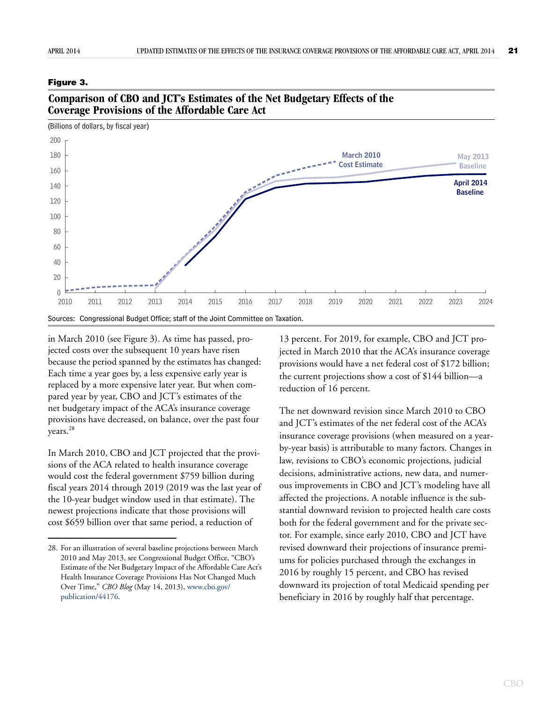#### <span id="page-24-0"></span>**Figure 3.**



**Comparison of CBO and JCT's Estimates of the Net Budgetary Effects of the Coverage Provisions of the Affordable Care Act**

in March 2010 (see [Figure 3](#page-24-0)). As time has passed, projected costs over the subsequent 10 years have risen because the period spanned by the estimates has changed: Each time a year goes by, a less expensive early year is replaced by a more expensive later year. But when compared year by year, CBO and JCT's estimates of the net budgetary impact of the ACA's insurance coverage provisions have decreased, on balance, over the past four years.<sup>28</sup>

In March 2010, CBO and JCT projected that the provisions of the ACA related to health insurance coverage would cost the federal government \$759 billion during fiscal years 2014 through 2019 (2019 was the last year of the 10-year budget window used in that estimate). The newest projections indicate that those provisions will cost \$659 billion over that same period, a reduction of

13 percent. For 2019, for example, CBO and JCT projected in March 2010 that the ACA's insurance coverage provisions would have a net federal cost of \$172 billion; the current projections show a cost of \$144 billion—a reduction of 16 percent.

The net downward revision since March 2010 to CBO and JCT's estimates of the net federal cost of the ACA's insurance coverage provisions (when measured on a yearby-year basis) is attributable to many factors. Changes in law, revisions to CBO's economic projections, judicial decisions, administrative actions, new data, and numerous improvements in CBO and JCT's modeling have all affected the projections. A notable influence is the substantial downward revision to projected health care costs both for the federal government and for the private sector. For example, since early 2010, CBO and JCT have revised downward their projections of insurance premiums for policies purchased through the exchanges in 2016 by roughly 15 percent, and CBO has revised downward its projection of total Medicaid spending per beneficiary in 2016 by roughly half that percentage.

<sup>28.</sup> For an illustration of several baseline projections between March 2010 and May 2013, see Congressional Budget Office, "CBO's Estimate of the Net Budgetary Impact of the Affordable Care Act's Health Insurance Coverage Provisions Has Not Changed Much Over Time," *CBO Blog* (May 14, 2013), [www.cbo.gov/](http://www.cbo.gov/publication/44176) [publication/44176](http://www.cbo.gov/publication/44176).